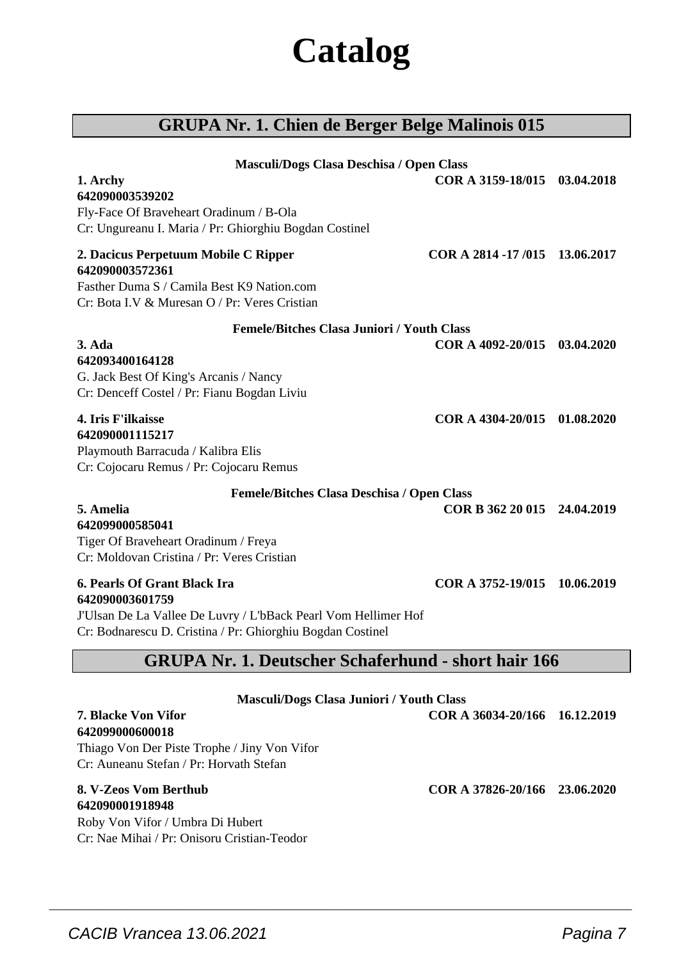# **Catalog**

# **GRUPA Nr. 1. Chien de Berger Belge Malinois 015**

| Masculi/Dogs Clasa Deschisa / Open Class                                                                                     |                               |  |
|------------------------------------------------------------------------------------------------------------------------------|-------------------------------|--|
| 1. Archy                                                                                                                     | COR A 3159-18/015 03.04.2018  |  |
| 642090003539202                                                                                                              |                               |  |
| Fly-Face Of Braveheart Oradinum / B-Ola                                                                                      |                               |  |
| Cr: Ungureanu I. Maria / Pr: Ghiorghiu Bogdan Costinel                                                                       |                               |  |
| 2. Dacicus Perpetuum Mobile C Ripper<br>642090003572361                                                                      | COR A 2814 -17/015 13.06.2017 |  |
| Fasther Duma S / Camila Best K9 Nation.com                                                                                   |                               |  |
| Cr: Bota LV & Muresan O / Pr: Veres Cristian                                                                                 |                               |  |
| <b>Femele/Bitches Clasa Juniori / Youth Class</b>                                                                            |                               |  |
| $3. Ada$                                                                                                                     | COR A 4092-20/015 03.04.2020  |  |
| 642093400164128                                                                                                              |                               |  |
| G. Jack Best Of King's Arcanis / Nancy                                                                                       |                               |  |
| Cr: Denceff Costel / Pr: Fianu Bogdan Liviu                                                                                  |                               |  |
| 4. Iris F'ilkaisse                                                                                                           | COR A 4304-20/015 01.08.2020  |  |
| 642090001115217                                                                                                              |                               |  |
| Playmouth Barracuda / Kalibra Elis                                                                                           |                               |  |
| Cr: Cojocaru Remus / Pr: Cojocaru Remus                                                                                      |                               |  |
| Femele/Bitches Clasa Deschisa / Open Class                                                                                   |                               |  |
| 5. Amelia                                                                                                                    | COR B 362 20 015 24.04.2019   |  |
| 642099000585041                                                                                                              |                               |  |
| Tiger Of Braveheart Oradinum / Freya                                                                                         |                               |  |
| Cr: Moldovan Cristina / Pr: Veres Cristian                                                                                   |                               |  |
| 6. Pearls Of Grant Black Ira                                                                                                 | COR A 3752-19/015 10.06.2019  |  |
| 642090003601759                                                                                                              |                               |  |
| J'Ulsan De La Vallee De Luvry / L'bBack Pearl Vom Hellimer Hof<br>Cr: Bodnarescu D. Cristina / Pr: Ghiorghiu Bogdan Costinel |                               |  |
|                                                                                                                              |                               |  |
| <b>GRUPA Nr. 1. Deutscher Schaferhund - short hair 166</b>                                                                   |                               |  |

| <b>Masculi/Dogs Clasa Juniori / Youth Class</b> |                               |  |
|-------------------------------------------------|-------------------------------|--|
| <b>7. Blacke Von Vifor</b>                      | COR A 36034-20/166 16.12.2019 |  |
| 642099000600018                                 |                               |  |
| Thiago Von Der Piste Trophe / Jiny Von Vifor    |                               |  |
| Cr: Auneanu Stefan / Pr: Horvath Stefan         |                               |  |
| 8. V-Zeos Vom Berthub                           | COR A 37826-20/166 23.06.2020 |  |

 $\overline{\phantom{a}}$  , and the set of the set of the set of the set of the set of the set of the set of the set of the set of the set of the set of the set of the set of the set of the set of the set of the set of the set of the s

**642090001918948** Roby Von Vifor / Umbra Di Hubert Cr: Nae Mihai / Pr: Onisoru Cristian-Teodor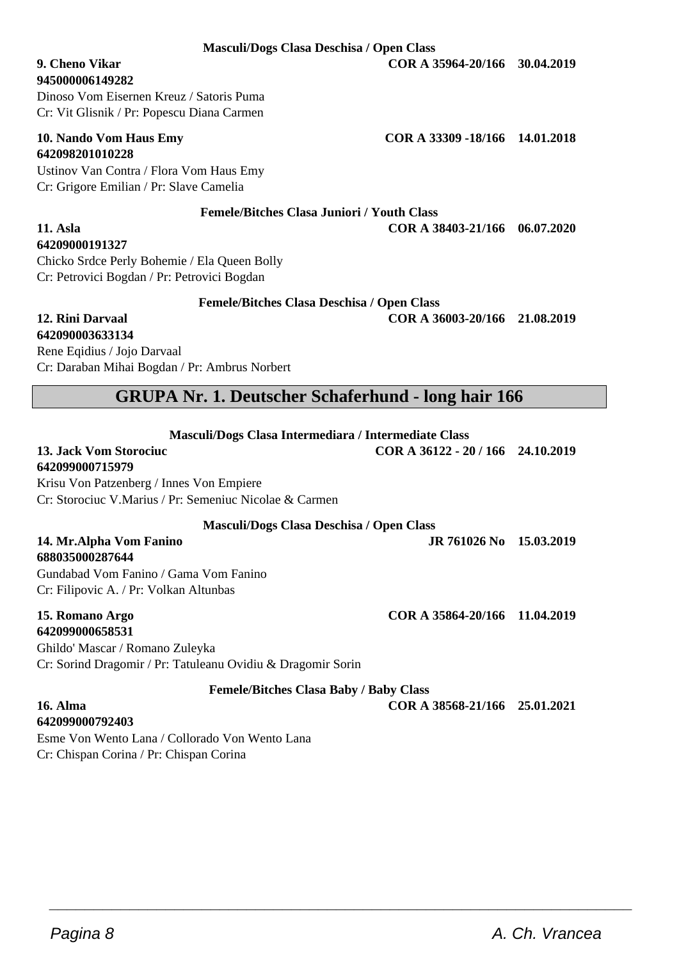**Masculi/Dogs Clasa Deschisa / Open Class**

**945000006149282**

Dinoso Vom Eisernen Kreuz / Satoris Puma Cr: Vit Glisnik / Pr: Popescu Diana Carmen

# **642098201010228**

Ustinov Van Contra / Flora Vom Haus Emy Cr: Grigore Emilian / Pr: Slave Camelia

**Femele/Bitches Clasa Juniori / Youth Class**

**11. Asla COR A 38403-21/166 06.07.2020 64209000191327**

Chicko Srdce Perly Bohemie / Ela Queen Bolly Cr: Petrovici Bogdan / Pr: Petrovici Bogdan

**Femele/Bitches Clasa Deschisa / Open Class**

**12. Rini Darvaal COR A 36003-20/166 21.08.2019**

#### **642090003633134** Rene Eqidius / Jojo Darvaal Cr: Daraban Mihai Bogdan / Pr: Ambrus Norbert

# **GRUPA Nr. 1. Deutscher Schaferhund - long hair 166**

| Masculi/Dogs Clasa Intermediara / Intermediate Class |  |
|------------------------------------------------------|--|
|------------------------------------------------------|--|

#### **13. Jack Vom Storociuc COR A 36122 - 20 / 166 24.10.2019 642099000715979**

Krisu Von Patzenberg / Innes Von Empiere Cr: Storociuc V.Marius / Pr: Semeniuc Nicolae & Carmen

**Masculi/Dogs Clasa Deschisa / Open Class**

# **688035000287644**

Gundabad Vom Fanino / Gama Vom Fanino Cr: Filipovic A. / Pr: Volkan Altunbas

#### **15. Romano Argo COR A 35864-20/166 11.04.2019 642099000658531**

Ghildo' Mascar / Romano Zuleyka Cr: Sorind Dragomir / Pr: Tatuleanu Ovidiu & Dragomir Sorin

**Femele/Bitches Clasa Baby / Baby Class**

 $\overline{\phantom{a}}$  , and the set of the set of the set of the set of the set of the set of the set of the set of the set of the set of the set of the set of the set of the set of the set of the set of the set of the set of the s

**16. Alma COR A 38568-21/166 25.01.2021**

**642099000792403** Esme Von Wento Lana / Collorado Von Wento Lana Cr: Chispan Corina / Pr: Chispan Corina

**9. Cheno Vikar COR A 35964-20/166 30.04.2019**

**14. Mr.Alpha Vom Fanino JR 761026 No 15.03.2019**

**10. Nando Vom Haus Emy COR A 33309 -18/166 14.01.2018**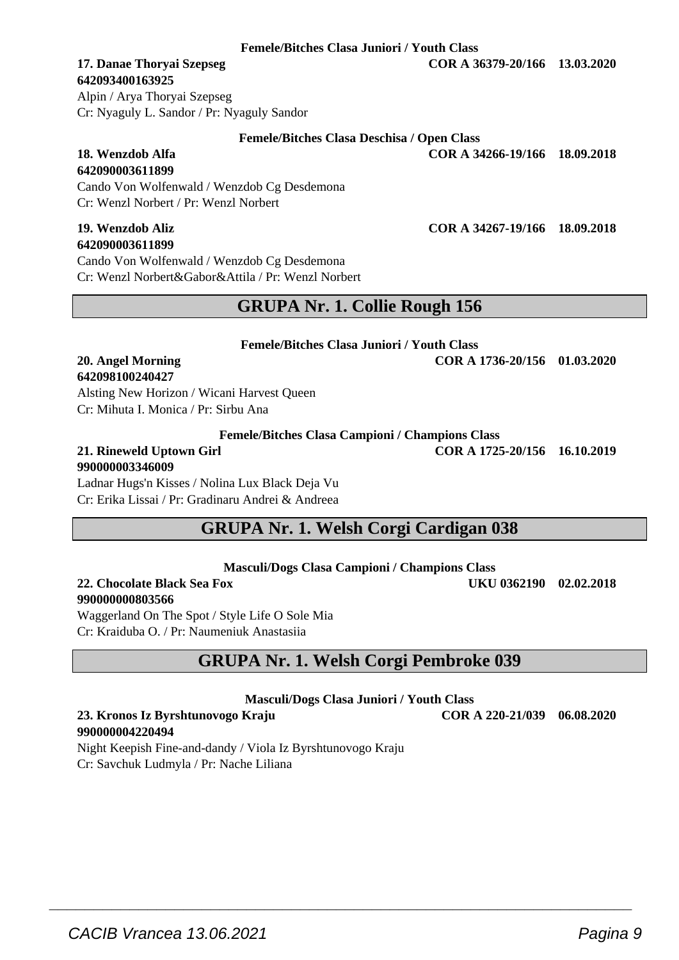**Femele/Bitches Clasa Juniori / Youth Class**

**Femele/Bitches Clasa Deschisa / Open Class 18. Wenzdob Alfa COR A 34266-19/166 18.09.2018**

# **642093400163925**

**642090003611899**

Alpin / Arya Thoryai Szepseg Cr: Nyaguly L. Sandor / Pr: Nyaguly Sandor

Cr: Wenzl Norbert / Pr: Wenzl Norbert

| 19. Wenzdob Aliz                                   | COR A 34267-19/166 18.09.2018 |  |
|----------------------------------------------------|-------------------------------|--|
| 642090003611899                                    |                               |  |
| Cando Von Wolfenwald / Wenzdob Cg Desdemona        |                               |  |
| Cr: Wenzl Norbert&Gabor&Attila / Pr: Wenzl Norbert |                               |  |
|                                                    |                               |  |

Cando Von Wolfenwald / Wenzdob Cg Desdemona

# **GRUPA Nr. 1. Collie Rough 156**

**Femele/Bitches Clasa Juniori / Youth Class**

# **642098100240427**

Alsting New Horizon / Wicani Harvest Queen Cr: Mihuta I. Monica / Pr: Sirbu Ana

**Femele/Bitches Clasa Campioni / Champions Class**

#### **21. Rineweld Uptown Girl COR A 1725-20/156 16.10.2019 990000003346009**

Ladnar Hugs'n Kisses / Nolina Lux Black Deja Vu Cr: Erika Lissai / Pr: Gradinaru Andrei & Andreea

# **GRUPA Nr. 1. Welsh Corgi Cardigan 038**

**Masculi/Dogs Clasa Campioni / Champions Class**

**22. Chocolate Black Sea Fox UKU 0362190 02.02.2018 990000000803566**

Waggerland On The Spot / Style Life O Sole Mia Cr: Kraiduba O. / Pr: Naumeniuk Anastasiia

# **GRUPA Nr. 1. Welsh Corgi Pembroke 039**

**Masculi/Dogs Clasa Juniori / Youth Class**

**23. Kronos Iz Byrshtunovogo Kraju COR A 220-21/039 06.08.2020**

 $\overline{\phantom{a}}$  , and the set of the set of the set of the set of the set of the set of the set of the set of the set of the set of the set of the set of the set of the set of the set of the set of the set of the set of the s

**990000004220494** Night Keepish Fine-and-dandy / Viola Iz Byrshtunovogo Kraju Cr: Savchuk Ludmyla / Pr: Nache Liliana

**20. Angel Morning COR A 1736-20/156 01.03.2020**

**17. Danae Thoryai Szepseg COR A 36379-20/166 13.03.2020**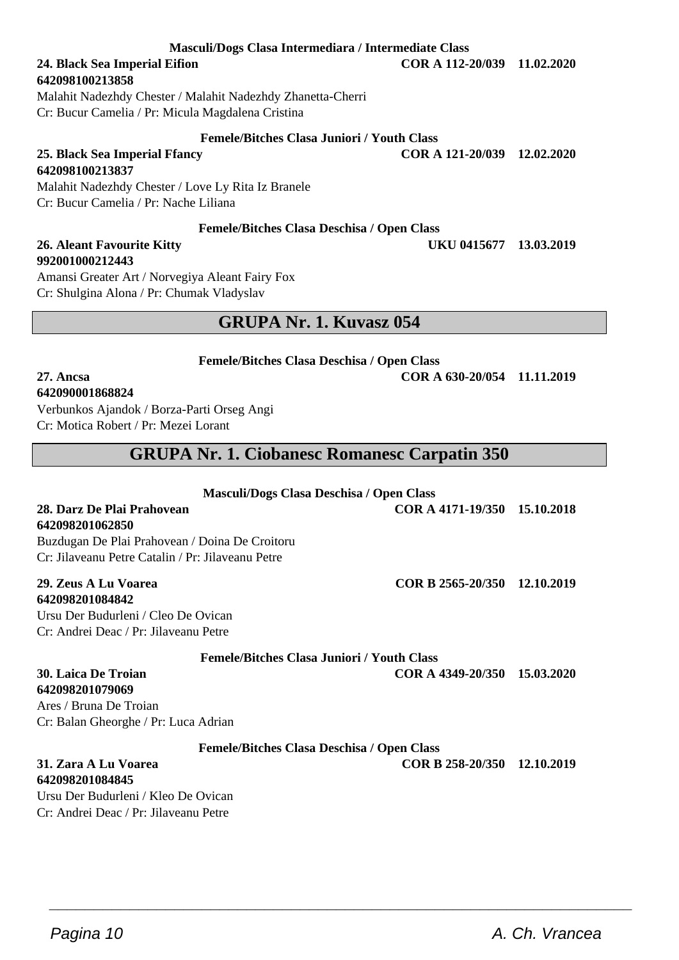**Masculi/Dogs Clasa Intermediara / Intermediate Class**

# **24. Black Sea Imperial Eifion COR A 112-20/039 11.02.2020**

**642098100213858**

Malahit Nadezhdy Chester / Malahit Nadezhdy Zhanetta-Cherri Cr: Bucur Camelia / Pr: Micula Magdalena Cristina

**25. Black Sea Imperial Ffancy COR A 121-20/039 12.02.2020 642098100213837**

Malahit Nadezhdy Chester / Love Ly Rita Iz Branele Cr: Bucur Camelia / Pr: Nache Liliana

### **Femele/Bitches Clasa Deschisa / Open Class**

# **992001000212443**

Amansi Greater Art / Norvegiya Aleant Fairy Fox Cr: Shulgina Alona / Pr: Chumak Vladyslav

# **GRUPA Nr. 1. Kuvasz 054**

**Femele/Bitches Clasa Deschisa / Open Class**

**27. Ancsa COR A 630-20/054 11.11.2019**

# **642090001868824**

Verbunkos Ajandok / Borza-Parti Orseg Angi Cr: Motica Robert / Pr: Mezei Lorant

# **GRUPA Nr. 1. Ciobanesc Romanesc Carpatin 350**

### **Masculi/Dogs Clasa Deschisa / Open Class**

**28. Darz De Plai Prahovean COR A 4171-19/350 15.10.2018**

**642098201062850** Buzdugan De Plai Prahovean / Doina De Croitoru Cr: Jilaveanu Petre Catalin / Pr: Jilaveanu Petre

#### **29. Zeus A Lu Voarea COR B 2565-20/350 12.10.2019 642098201084842**

Ursu Der Budurleni / Cleo De Ovican Cr: Andrei Deac / Pr: Jilaveanu Petre

**Femele/Bitches Clasa Juniori / Youth Class**

**30. Laica De Troian COR A 4349-20/350 15.03.2020**

# **642098201079069**

Ares / Bruna De Troian Cr: Balan Gheorghe / Pr: Luca Adrian

### **Femele/Bitches Clasa Deschisa / Open Class**

 $\overline{\phantom{a}}$  , and the set of the set of the set of the set of the set of the set of the set of the set of the set of the set of the set of the set of the set of the set of the set of the set of the set of the set of the s

#### **31. Zara A Lu Voarea COR B 258-20/350 12.10.2019 642098201084845**

Ursu Der Budurleni / Kleo De Ovican Cr: Andrei Deac / Pr: Jilaveanu Petre

**26. Aleant Favourite Kitty UKU 0415677 13.03.2019**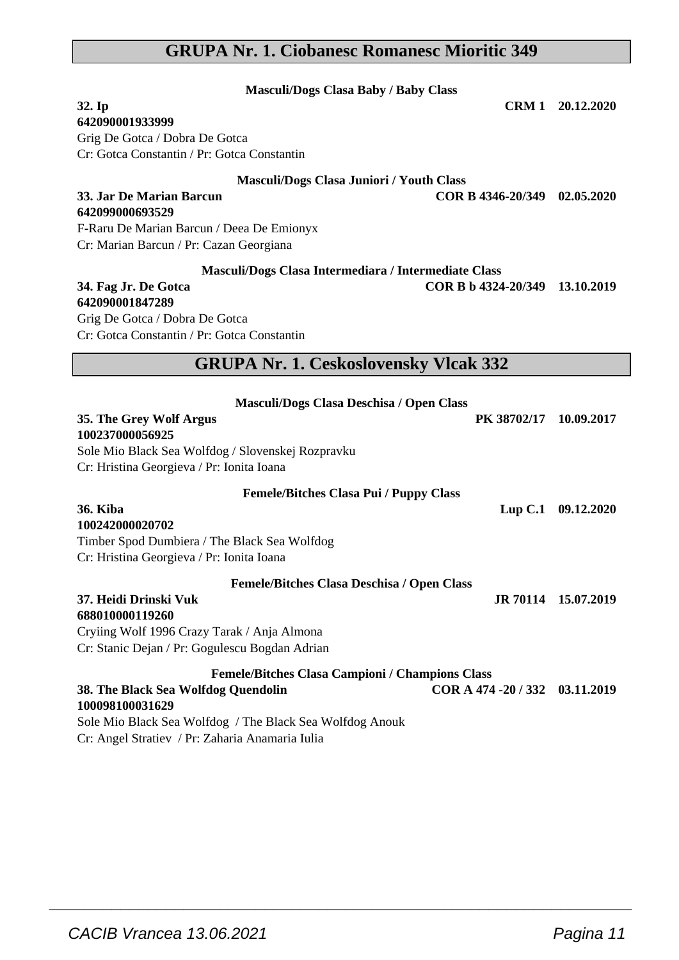# **GRUPA Nr. 1. Ciobanesc Romanesc Mioritic 349**

| <b>Masculi/Dogs Clasa Baby / Baby Class</b>              |                                |                     |
|----------------------------------------------------------|--------------------------------|---------------------|
| 32. Ip                                                   |                                | CRM 1 20.12.2020    |
| 642090001933999                                          |                                |                     |
| Grig De Gotca / Dobra De Gotca                           |                                |                     |
| Cr: Gotca Constantin / Pr: Gotca Constantin              |                                |                     |
| Masculi/Dogs Clasa Juniori / Youth Class                 |                                |                     |
| 33. Jar De Marian Barcun                                 | COR B 4346-20/349              | 02.05.2020          |
| 642099000693529                                          |                                |                     |
| F-Raru De Marian Barcun / Deea De Emionyx                |                                |                     |
| Cr: Marian Barcun / Pr: Cazan Georgiana                  |                                |                     |
| Masculi/Dogs Clasa Intermediara / Intermediate Class     |                                |                     |
| 34. Fag Jr. De Gotca                                     | COR B b 4324-20/349 13.10.2019 |                     |
| 642090001847289                                          |                                |                     |
| Grig De Gotca / Dobra De Gotca                           |                                |                     |
| Cr: Gotca Constantin / Pr: Gotca Constantin              |                                |                     |
| <b>GRUPA Nr. 1. Ceskoslovensky Vlcak 332</b>             |                                |                     |
|                                                          |                                |                     |
| Masculi/Dogs Clasa Deschisa / Open Class                 |                                |                     |
| 35. The Grey Wolf Argus                                  | PK 38702/17                    | 10.09.2017          |
| 100237000056925                                          |                                |                     |
| Sole Mio Black Sea Wolfdog / Slovenskej Rozpravku        |                                |                     |
| Cr: Hristina Georgieva / Pr: Ionita Ioana                |                                |                     |
| <b>Femele/Bitches Clasa Pui / Puppy Class</b>            |                                |                     |
| <b>36. Kiba</b>                                          | Lup C.1                        | 09.12.2020          |
| 100242000020702                                          |                                |                     |
| Timber Spod Dumbiera / The Black Sea Wolfdog             |                                |                     |
| Cr: Hristina Georgieva / Pr: Ionita Ioana                |                                |                     |
| Femele/Bitches Clasa Deschisa / Open Class               |                                |                     |
| 37. Heidi Drinski Vuk                                    |                                | JR 70114 15.07.2019 |
| 688010000119260                                          |                                |                     |
| Cryiing Wolf 1996 Crazy Tarak / Anja Almona              |                                |                     |
| Cr: Stanic Dejan / Pr: Gogulescu Bogdan Adrian           |                                |                     |
| Femele/Bitches Clasa Campioni / Champions Class          |                                |                     |
| 38. The Black Sea Wolfdog Quendolin                      | COR A 474 - 20 / 332           | 03.11.2019          |
| 100098100031629                                          |                                |                     |
| Sole Mio Black Sea Wolfdog / The Black Sea Wolfdog Anouk |                                |                     |
| Cr: Angel Stratiev / Pr: Zaharia Anamaria Iulia          |                                |                     |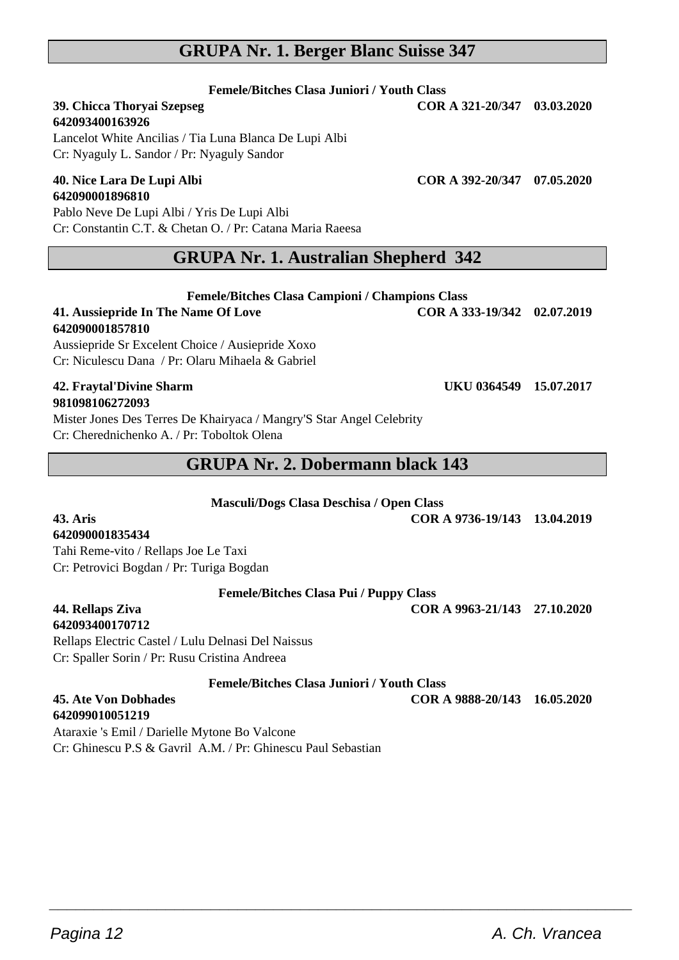### **GRUPA Nr. 1. Berger Blanc Suisse 347**

#### **Femele/Bitches Clasa Juniori / Youth Class**

# **39. Chicca Thoryai Szepseg COR A 321-20/347 03.03.2020**

**642093400163926** Lancelot White Ancilias / Tia Luna Blanca De Lupi Albi Cr: Nyaguly L. Sandor / Pr: Nyaguly Sandor

#### **40. Nice Lara De Lupi Albi COR A 392-20/347 07.05.2020 642090001896810**

Pablo Neve De Lupi Albi / Yris De Lupi Albi Cr: Constantin C.T. & Chetan O. / Pr: Catana Maria Raeesa

### **GRUPA Nr. 1. Australian Shepherd 342**

**Femele/Bitches Clasa Campioni / Champions Class**

**41. Aussiepride In The Name Of Love COR A 333-19/342 02.07.2019**

#### **642090001857810**

Aussiepride Sr Excelent Choice / Ausiepride Xoxo Cr: Niculescu Dana / Pr: Olaru Mihaela & Gabriel

#### **42. Fraytal'Divine Sharm UKU 0364549 15.07.2017 981098106272093**

Mister Jones Des Terres De Khairyaca / Mangry'S Star Angel Celebrity Cr: Cherednichenko A. / Pr: Toboltok Olena

# **GRUPA Nr. 2. Dobermann black 143**

**Masculi/Dogs Clasa Deschisa / Open Class**

**43. Aris COR A 9736-19/143 13.04.2019**

# **642090001835434**

Tahi Reme-vito / Rellaps Joe Le Taxi Cr: Petrovici Bogdan / Pr: Turiga Bogdan

**Femele/Bitches Clasa Pui / Puppy Class**

**44. Rellaps Ziva COR A 9963-21/143 27.10.2020**

# **642093400170712**

Rellaps Electric Castel / Lulu Delnasi Del Naissus Cr: Spaller Sorin / Pr: Rusu Cristina Andreea

**Femele/Bitches Clasa Juniori / Youth Class**

 $\overline{\phantom{a}}$  , and the set of the set of the set of the set of the set of the set of the set of the set of the set of the set of the set of the set of the set of the set of the set of the set of the set of the set of the s

#### **45. Ate Von Dobhades COR A 9888-20/143 16.05.2020 642099010051219**

Ataraxie 's Emil / Darielle Mytone Bo Valcone Cr: Ghinescu P.S & Gavril A.M. / Pr: Ghinescu Paul Sebastian

Pagina 12 **A. Ch. Vrancea**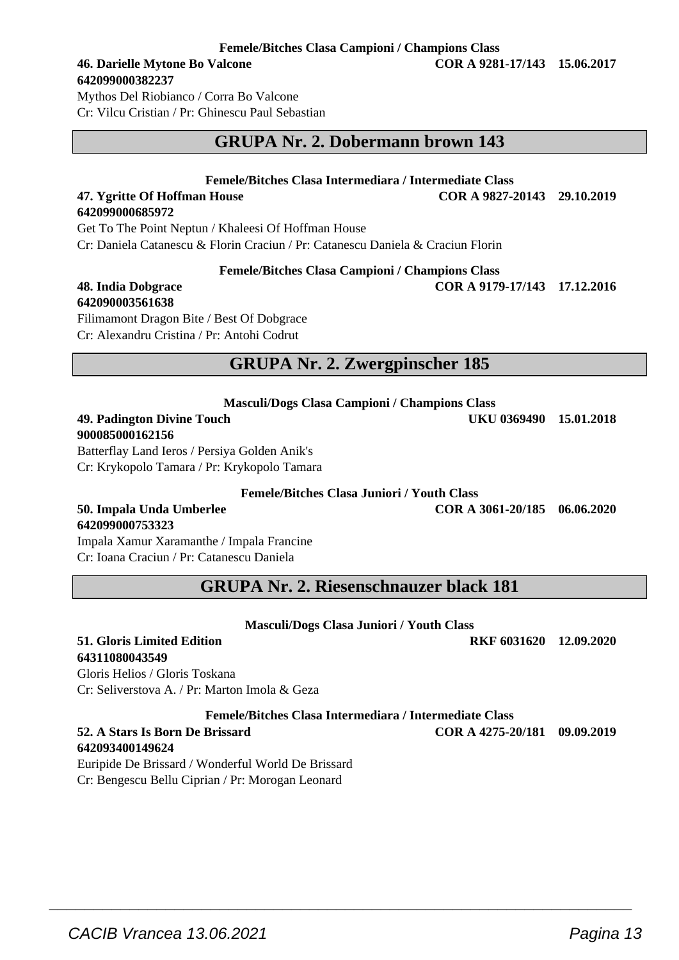#### **Femele/Bitches Clasa Campioni / Champions Class**

# **642099000382237**

Mythos Del Riobianco / Corra Bo Valcone Cr: Vilcu Cristian / Pr: Ghinescu Paul Sebastian

# **GRUPA Nr. 2. Dobermann brown 143**

#### **Femele/Bitches Clasa Intermediara / Intermediate Class**

**47. Ygritte Of Hoffman House COR A 9827-20143 29.10.2019 642099000685972**

Get To The Point Neptun / Khaleesi Of Hoffman House Cr: Daniela Catanescu & Florin Craciun / Pr: Catanescu Daniela & Craciun Florin

**Femele/Bitches Clasa Campioni / Champions Class**

#### **48. India Dobgrace COR A 9179-17/143 17.12.2016 642090003561638**

Filimamont Dragon Bite / Best Of Dobgrace Cr: Alexandru Cristina / Pr: Antohi Codrut

# **GRUPA Nr. 2. Zwergpinscher 185**

| <b>Masculi/Dogs Clasa Campioni / Champions Class</b> |                        |  |
|------------------------------------------------------|------------------------|--|
| 49. Padington Divine Touch                           | UKU 0369490 15.01.2018 |  |
| 900085000162156                                      |                        |  |

Batterflay Land Ieros / Persiya Golden Anik's Cr: Krykopolo Tamara / Pr: Krykopolo Tamara

**Femele/Bitches Clasa Juniori / Youth Class**

**50. Impala Unda Umberlee COR A 3061-20/185 06.06.2020**

**642099000753323** Impala Xamur Xaramanthe / Impala Francine Cr: Ioana Craciun / Pr: Catanescu Daniela

**GRUPA Nr. 2. Riesenschnauzer black 181**

#### **Masculi/Dogs Clasa Juniori / Youth Class 51. Gloris Limited Edition RKF 6031620 12.09.2020**

# **64311080043549**

Gloris Helios / Gloris Toskana Cr: Seliverstova A. / Pr: Marton Imola & Geza

**Femele/Bitches Clasa Intermediara / Intermediate Class**

 $\overline{\phantom{a}}$  , and the set of the set of the set of the set of the set of the set of the set of the set of the set of the set of the set of the set of the set of the set of the set of the set of the set of the set of the s

#### **52. A Stars Is Born De Brissard COR A 4275-20/181 09.09.2019 642093400149624**

Euripide De Brissard / Wonderful World De Brissard Cr: Bengescu Bellu Ciprian / Pr: Morogan Leonard

**46. Darielle Mytone Bo Valcone COR A 9281-17/143 15.06.2017**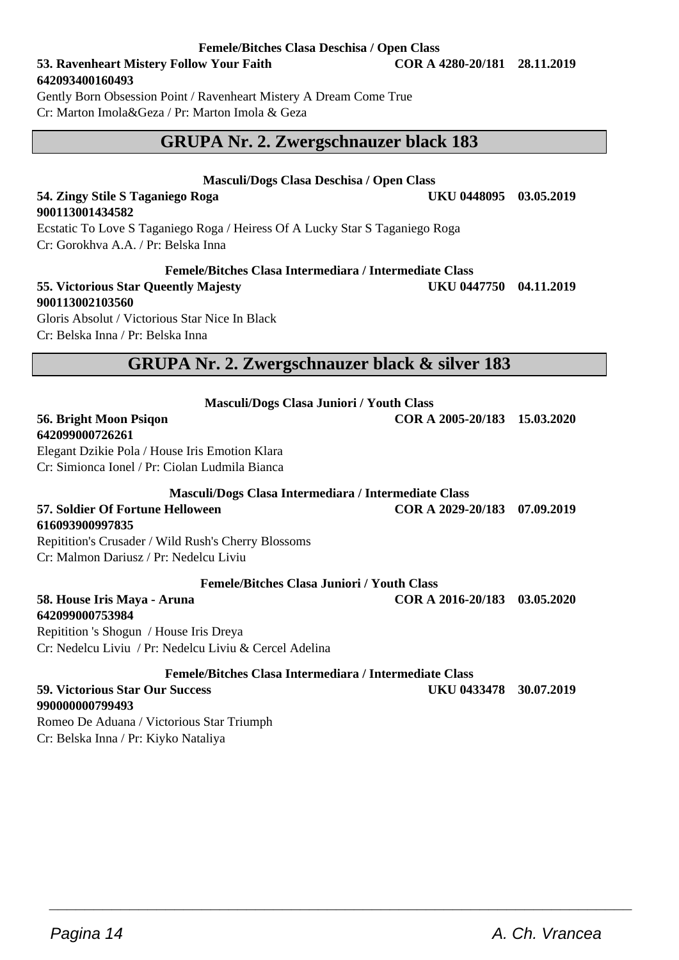### **53. Ravenheart Mistery Follow Your Faith COR A 4280-20/181 28.11.2019 642093400160493**

Gently Born Obsession Point / Ravenheart Mistery A Dream Come True Cr: Marton Imola&Geza / Pr: Marton Imola & Geza

# **GRUPA Nr. 2. Zwergschnauzer black 183**

#### **Masculi/Dogs Clasa Deschisa / Open Class 54. Zingy Stile S Taganiego Roga UKU 0448095 03.05.2019**

**900113001434582** Ecstatic To Love S Taganiego Roga / Heiress Of A Lucky Star S Taganiego Roga Cr: Gorokhva A.A. / Pr: Belska Inna

#### **Femele/Bitches Clasa Intermediara / Intermediate Class**

#### **55. Victorious Star Queently Majesty UKU 0447750 04.11.2019 900113002103560** Gloris Absolut / Victorious Star Nice In Black

Cr: Belska Inna / Pr: Belska Inna

### **GRUPA Nr. 2. Zwergschnauzer black & silver 183**

**Masculi/Dogs Clasa Juniori / Youth Class**

#### **56. Bright Moon Psiqon COR A 2005-20/183 15.03.2020 642099000726261**

Elegant Dzikie Pola / House Iris Emotion Klara Cr: Simionca Ionel / Pr: Ciolan Ludmila Bianca

**Masculi/Dogs Clasa Intermediara / Intermediate Class**

**57. Soldier Of Fortune Helloween COR A 2029-20/183 07.09.2019**

**616093900997835**

Repitition's Crusader / Wild Rush's Cherry Blossoms

Cr: Malmon Dariusz / Pr: Nedelcu Liviu

#### **Femele/Bitches Clasa Juniori / Youth Class**

**58. House Iris Maya - Aruna COR A 2016-20/183 03.05.2020 642099000753984**

Repitition 's Shogun / House Iris Dreya Cr: Nedelcu Liviu / Pr: Nedelcu Liviu & Cercel Adelina

**Femele/Bitches Clasa Intermediara / Intermediate Class**

 $\overline{\phantom{a}}$  , and the set of the set of the set of the set of the set of the set of the set of the set of the set of the set of the set of the set of the set of the set of the set of the set of the set of the set of the s

#### **59. Victorious Star Our Success UKU 0433478 30.07.2019 990000000799493**

Romeo De Aduana / Victorious Star Triumph Cr: Belska Inna / Pr: Kiyko Nataliya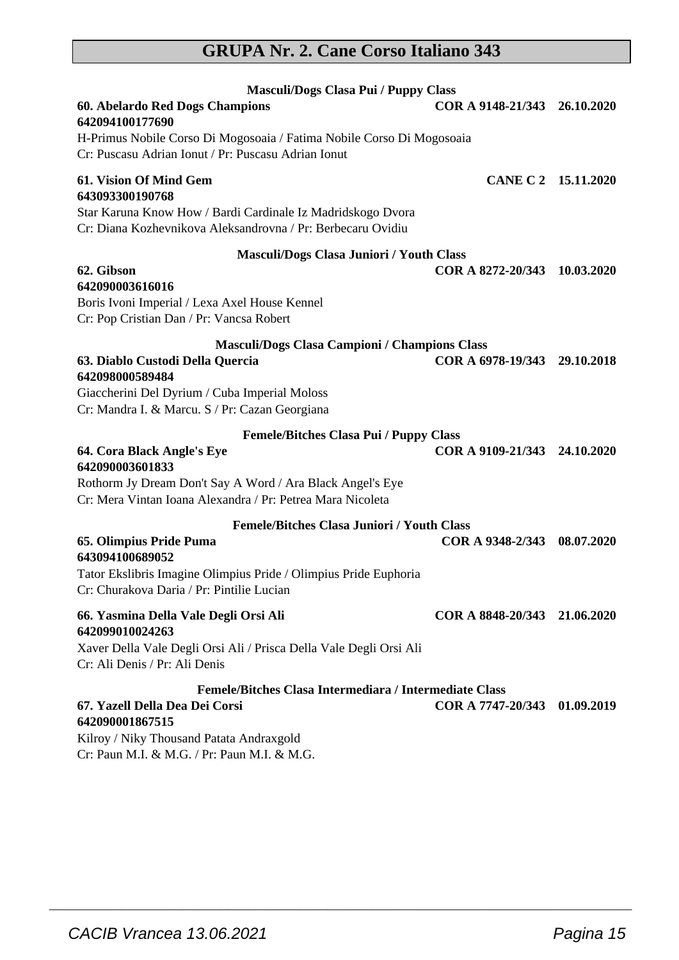# **GRUPA Nr. 2. Cane Corso Italiano 343**

| <b>Masculi/Dogs Clasa Pui / Puppy Class</b>                                                                                                     |                              |            |
|-------------------------------------------------------------------------------------------------------------------------------------------------|------------------------------|------------|
| 60. Abelardo Red Dogs Champions                                                                                                                 | COR A 9148-21/343 26.10.2020 |            |
| 642094100177690<br>H-Primus Nobile Corso Di Mogosoaia / Fatima Nobile Corso Di Mogosoaia<br>Cr: Puscasu Adrian Ionut / Pr: Puscasu Adrian Ionut |                              |            |
| 61. Vision Of Mind Gem<br>643093300190768                                                                                                       | CANE C 2 15.11.2020          |            |
| Star Karuna Know How / Bardi Cardinale Iz Madridskogo Dvora<br>Cr: Diana Kozhevnikova Aleksandrovna / Pr: Berbecaru Ovidiu                      |                              |            |
| <b>Masculi/Dogs Clasa Juniori / Youth Class</b>                                                                                                 |                              |            |
| 62. Gibson<br>642090003616016                                                                                                                   | COR A 8272-20/343 10.03.2020 |            |
| Boris Ivoni Imperial / Lexa Axel House Kennel<br>Cr: Pop Cristian Dan / Pr: Vancsa Robert                                                       |                              |            |
| Masculi/Dogs Clasa Campioni / Champions Class                                                                                                   |                              |            |
| 63. Diablo Custodi Della Quercia<br>642098000589484                                                                                             | COR A 6978-19/343 29.10.2018 |            |
| Giaccherini Del Dyrium / Cuba Imperial Moloss<br>Cr: Mandra I. & Marcu. S / Pr: Cazan Georgiana                                                 |                              |            |
| <b>Femele/Bitches Clasa Pui / Puppy Class</b>                                                                                                   |                              |            |
| 64. Cora Black Angle's Eye<br>642090003601833                                                                                                   | COR A 9109-21/343 24.10.2020 |            |
| Rothorm Jy Dream Don't Say A Word / Ara Black Angel's Eye<br>Cr: Mera Vintan Ioana Alexandra / Pr: Petrea Mara Nicoleta                         |                              |            |
| <b>Femele/Bitches Clasa Juniori / Youth Class</b>                                                                                               |                              |            |
| 65. Olimpius Pride Puma<br>643094100689052                                                                                                      | COR A 9348-2/343             | 08.07.2020 |
| Tator Ekslibris Imagine Olimpius Pride / Olimpius Pride Euphoria<br>Cr: Churakova Daria / Pr: Pintilie Lucian                                   |                              |            |
| 66. Yasmina Della Vale Degli Orsi Ali<br>642099010024263                                                                                        | COR A 8848-20/343 21.06.2020 |            |
| Xaver Della Vale Degli Orsi Ali / Prisca Della Vale Degli Orsi Ali<br>Cr: Ali Denis / Pr: Ali Denis                                             |                              |            |
| Femele/Bitches Clasa Intermediara / Intermediate Class                                                                                          |                              |            |
| 67. Yazell Della Dea Dei Corsi<br>642090001867515                                                                                               | COR A 7747-20/343            | 01.09.2019 |
| Kilroy / Niky Thousand Patata Andraxgold<br>$C_{\rm m}$ $D_{\rm rms}$ MT $R$ MC $/D_{\rm m}$ $D_{\rm rms}$ MT $R$ MC                            |                              |            |

 $\overline{\phantom{a}}$  , and the set of the set of the set of the set of the set of the set of the set of the set of the set of the set of the set of the set of the set of the set of the set of the set of the set of the set of the s

Cr: Paun M.I. & M.G. / Pr: Paun M.I. & M.G.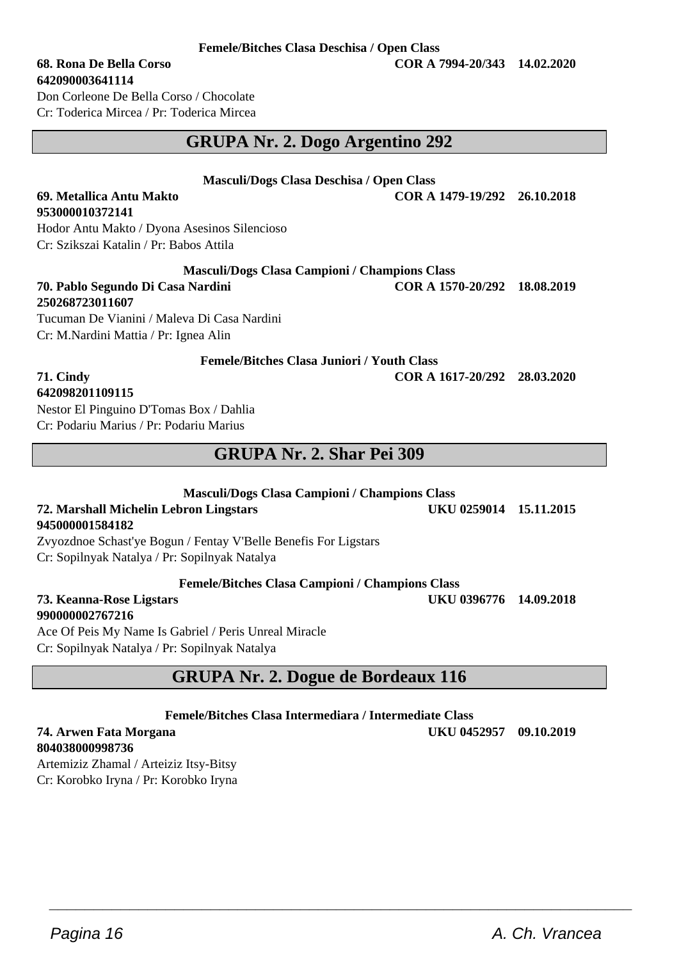### **Femele/Bitches Clasa Deschisa / Open Class**

#### **68. Rona De Bella Corso COR A 7994-20/343 14.02.2020**

**642090003641114** Don Corleone De Bella Corso / Chocolate Cr: Toderica Mircea / Pr: Toderica Mircea

# **GRUPA Nr. 2. Dogo Argentino 292**

**Masculi/Dogs Clasa Deschisa / Open Class**

**69. Metallica Antu Makto COR A 1479-19/292 26.10.2018**

Hodor Antu Makto / Dyona Asesinos Silencioso Cr: Szikszai Katalin / Pr: Babos Attila

#### **Masculi/Dogs Clasa Campioni / Champions Class**

**70. Pablo Segundo Di Casa Nardini COR A 1570-20/292 18.08.2019 250268723011607** Tucuman De Vianini / Maleva Di Casa Nardini Cr: M.Nardini Mattia / Pr: Ignea Alin

**Femele/Bitches Clasa Juniori / Youth Class**

**71. Cindy COR A 1617-20/292 28.03.2020**

## **642098201109115**

**953000010372141**

Nestor El Pinguino D'Tomas Box / Dahlia Cr: Podariu Marius / Pr: Podariu Marius

## **GRUPA Nr. 2. Shar Pei 309**

#### **Masculi/Dogs Clasa Campioni / Champions Class**

### **72. Marshall Michelin Lebron Lingstars UKU 0259014 15.11.2015 945000001584182**

Zvyozdnoe Schast'ye Bogun / Fentay V'Belle Benefis For Ligstars Cr: Sopilnyak Natalya / Pr: Sopilnyak Natalya

#### **Femele/Bitches Clasa Campioni / Champions Class**

**990000002767216**

Ace Of Peis My Name Is Gabriel / Peris Unreal Miracle Cr: Sopilnyak Natalya / Pr: Sopilnyak Natalya

# **GRUPA Nr. 2. Dogue de Bordeaux 116**

**Femele/Bitches Clasa Intermediara / Intermediate Class**

 $\overline{\phantom{a}}$  , and the set of the set of the set of the set of the set of the set of the set of the set of the set of the set of the set of the set of the set of the set of the set of the set of the set of the set of the s

#### **74. Arwen Fata Morgana UKU 0452957 09.10.2019 804038000998736**

Artemiziz Zhamal / Arteiziz Itsy-Bitsy Cr: Korobko Iryna / Pr: Korobko Iryna

**73. Keanna-Rose Ligstars UKU 0396776 14.09.2018**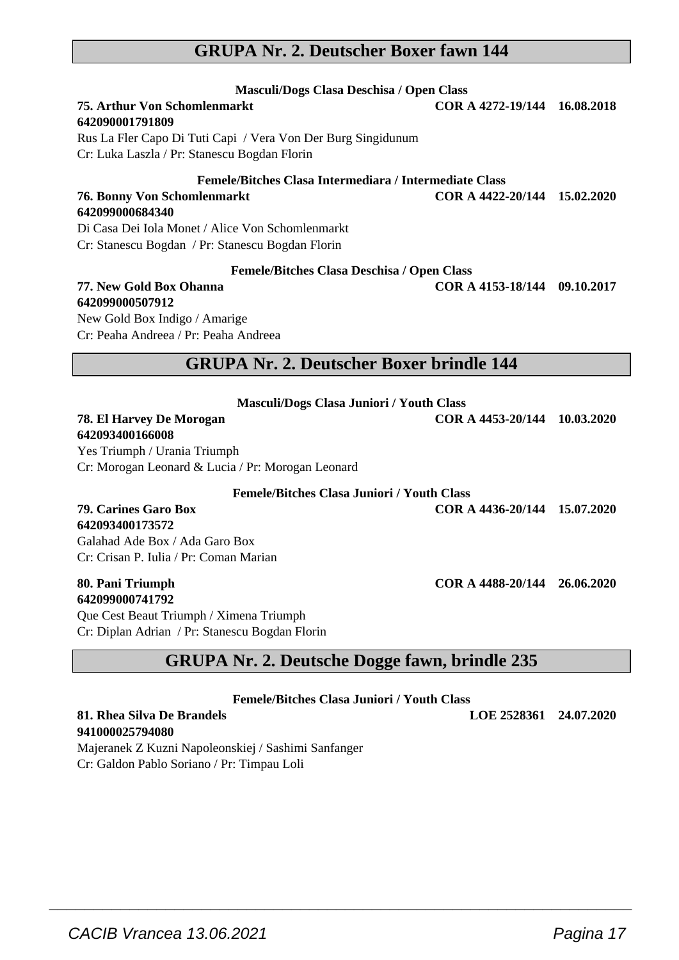### **GRUPA Nr. 2. Deutscher Boxer fawn 144**

| Masculi/Dogs Clasa Deschisa / Open Class<br><b>75. Arthur Von Schomlenmarkt</b><br>642090001791809<br>Rus La Fler Capo Di Tuti Capi / Vera Von Der Burg Singidunum<br>Cr: Luka Laszla / Pr: Stanescu Bogdan Florin      | COR A 4272-19/144 16.08.2018 |  |
|-------------------------------------------------------------------------------------------------------------------------------------------------------------------------------------------------------------------------|------------------------------|--|
| Femele/Bitches Clasa Intermediara / Intermediate Class<br><b>76. Bonny Von Schomlenmarkt</b><br>642099000684340<br>Di Casa Dei Iola Monet / Alice Von Schomlenmarkt<br>Cr: Stanescu Bogdan / Pr: Stanescu Bogdan Florin | COR A 4422-20/144 15.02.2020 |  |
| <b>Femele/Bitches Clasa Deschisa / Open Class</b><br>77. New Gold Box Ohanna<br>642099000507912<br>New Gold Box Indigo / Amarige<br>Cr: Peaha Andreea / Pr: Peaha Andreea                                               | COR A 4153-18/144 09.10.2017 |  |
| <b>GRUPA Nr. 2. Deutscher Boxer brindle 144</b>                                                                                                                                                                         |                              |  |
| <b>Masculi/Dogs Clasa Juniori / Youth Class</b><br>78. El Harvey De Morogan<br>642093400166008<br>Yes Triumph / Urania Triumph<br>Cr: Morogan Leonard & Lucia / Pr: Morogan Leonard                                     | COR A 4453-20/144 10.03.2020 |  |
| <b>Femele/Bitches Clasa Juniori / Youth Class</b><br><b>79. Carines Garo Box</b><br>642093400173572<br>Galahad Ade Box / Ada Garo Box<br>Cr: Crisan P. Iulia / Pr: Coman Marian                                         | COR A 4436-20/144 15.07.2020 |  |

#### **80. Pani Triumph COR A 4488-20/144 26.06.2020 642099000741792**

Que Cest Beaut Triumph / Ximena Triumph Cr: Diplan Adrian / Pr: Stanescu Bogdan Florin

# **GRUPA Nr. 2. Deutsche Dogge fawn, brindle 235**

**Femele/Bitches Clasa Juniori / Youth Class**

 $\overline{\phantom{a}}$  , and the set of the set of the set of the set of the set of the set of the set of the set of the set of the set of the set of the set of the set of the set of the set of the set of the set of the set of the s

**81. Rhea Silva De Brandels LOE 2528361 24.07.2020**

**941000025794080** Majeranek Z Kuzni Napoleonskiej / Sashimi Sanfanger Cr: Galdon Pablo Soriano / Pr: Timpau Loli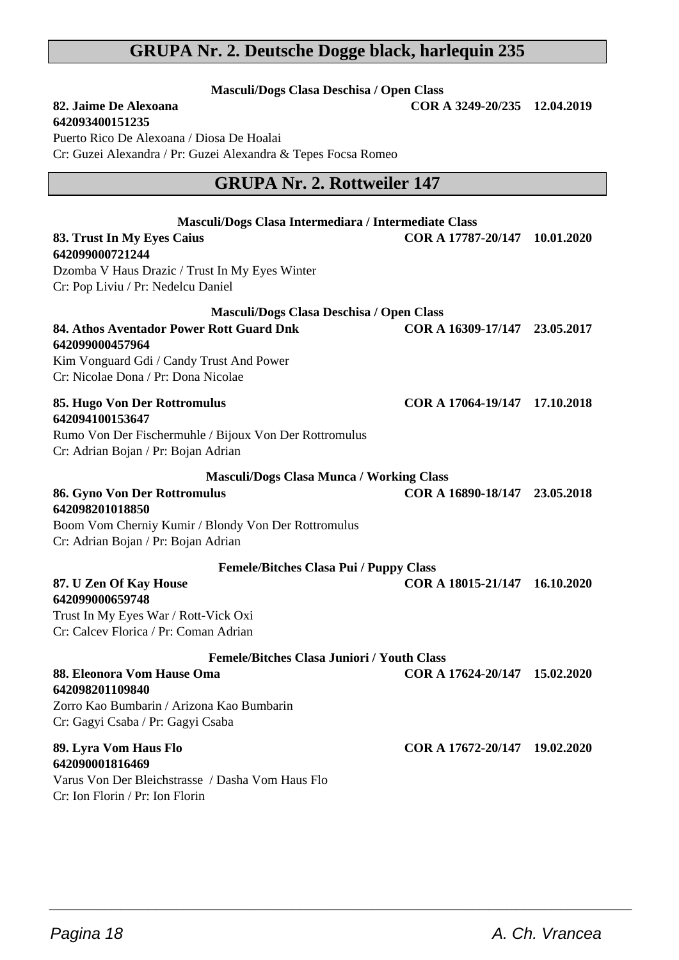# **GRUPA Nr. 2. Deutsche Dogge black, harlequin 235**

**Masculi/Dogs Clasa Deschisa / Open Class 82. Jaime De Alexoana COR A 3249-20/235 12.04.2019**

| Puerto Rico De Alexoana / Diosa De Hoalai<br>Cr: Guzei Alexandra / Pr: Guzei Alexandra & Tepes Focsa Romeo                                                                                       |                               |            |
|--------------------------------------------------------------------------------------------------------------------------------------------------------------------------------------------------|-------------------------------|------------|
| <b>GRUPA Nr. 2. Rottweiler 147</b>                                                                                                                                                               |                               |            |
| Masculi/Dogs Clasa Intermediara / Intermediate Class<br>83. Trust In My Eyes Caius<br>642099000721244<br>Dzomba V Haus Drazic / Trust In My Eyes Winter<br>Cr: Pop Liviu / Pr: Nedelcu Daniel    | COR A 17787-20/147            | 10.01.2020 |
| Masculi/Dogs Clasa Deschisa / Open Class<br>84. Athos Aventador Power Rott Guard Dnk<br>642099000457964<br>Kim Vonguard Gdi / Candy Trust And Power<br>Cr: Nicolae Dona / Pr: Dona Nicolae       | COR A 16309-17/147 23.05.2017 |            |
| 85. Hugo Von Der Rottromulus<br>642094100153647<br>Rumo Von Der Fischermuhle / Bijoux Von Der Rottromulus<br>Cr: Adrian Bojan / Pr: Bojan Adrian                                                 | COR A 17064-19/147 17.10.2018 |            |
| <b>Masculi/Dogs Clasa Munca / Working Class</b><br>86. Gyno Von Der Rottromulus<br>642098201018850<br>Boom Vom Cherniy Kumir / Blondy Von Der Rottromulus<br>Cr: Adrian Bojan / Pr: Bojan Adrian | COR A 16890-18/147 23.05.2018 |            |
| <b>Femele/Bitches Clasa Pui / Puppy Class</b><br>87. U Zen Of Kay House<br>642099000659748<br>Trust In My Eyes War / Rott-Vick Oxi<br>Cr: Calcey Florica / Pr: Coman Adrian                      | COR A 18015-21/147 16.10.2020 |            |
| <b>Femele/Bitches Clasa Juniori / Youth Class</b><br>88. Eleonora Vom Hause Oma<br>642098201109840<br>Zorro Kao Bumbarin / Arizona Kao Bumbarin<br>Cr: Gagyi Csaba / Pr: Gagyi Csaba             | COR A 17624-20/147 15.02.2020 |            |
| 89. Lyra Vom Haus Flo<br>642090001816469<br>Varus Von Der Bleichstrasse / Dasha Vom Haus Flo<br>Cr: Ion Florin / Pr: Ion Florin                                                                  | COR A 17672-20/147 19.02.2020 |            |

 $\overline{\phantom{a}}$  , and the set of the set of the set of the set of the set of the set of the set of the set of the set of the set of the set of the set of the set of the set of the set of the set of the set of the set of the s

**642093400151235**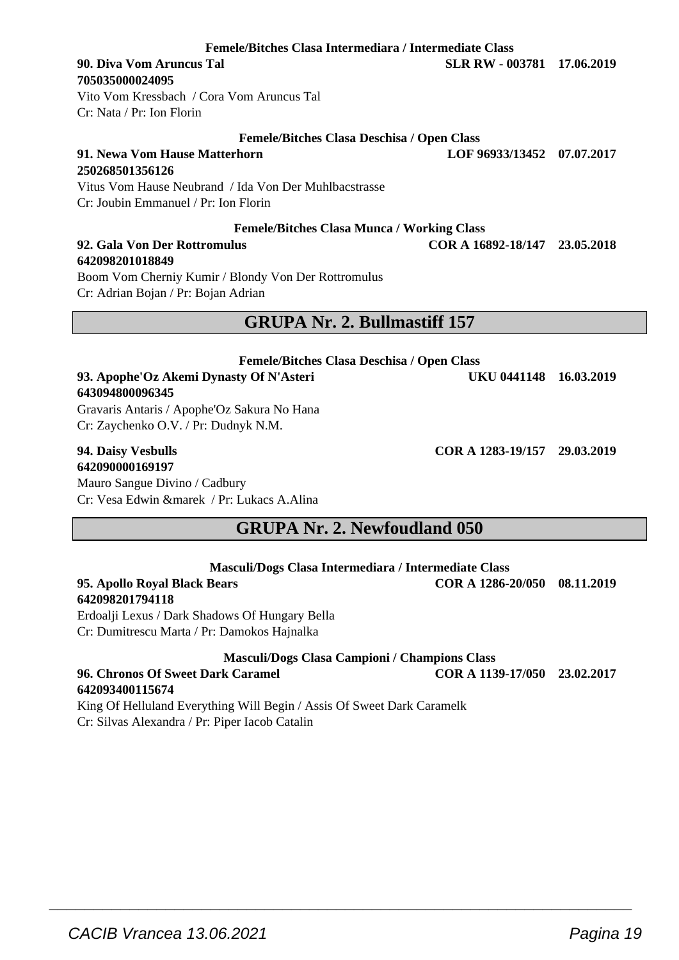**Femele/Bitches Clasa Intermediara / Intermediate Class**

# **705035000024095**

Vito Vom Kressbach / Cora Vom Aruncus Tal Cr: Nata / Pr: Ion Florin

#### **Femele/Bitches Clasa Deschisa / Open Class**

**91. Newa Vom Hause Matterhorn LOF 96933/13452 07.07.2017 250268501356126** Vitus Vom Hause Neubrand / Ida Von Der Muhlbacstrasse

Cr: Joubin Emmanuel / Pr: Ion Florin

#### **Femele/Bitches Clasa Munca / Working Class**

#### **92. Gala Von Der Rottromulus COR A 16892-18/147 23.05.2018 642098201018849**

Boom Vom Cherniy Kumir / Blondy Von Der Rottromulus Cr: Adrian Bojan / Pr: Bojan Adrian

### **GRUPA Nr. 2. Bullmastiff 157**

**Femele/Bitches Clasa Deschisa / Open Class 93. Apophe'Oz Akemi Dynasty Of N'Asteri UKU 0441148 16.03.2019 643094800096345**

Gravaris Antaris / Apophe'Oz Sakura No Hana Cr: Zaychenko O.V. / Pr: Dudnyk N.M.

# **642090000169197**

Mauro Sangue Divino / Cadbury Cr: Vesa Edwin &marek / Pr: Lukacs A.Alina

**GRUPA Nr. 2. Newfoudland 050**

|                              | Masculi/Dogs Clasa Intermediara / Intermediate Class |                    |
|------------------------------|------------------------------------------------------|--------------------|
| 95. Apollo Roval Black Bears |                                                      | <b>COR A 1286-</b> |
| 642098201794118              |                                                      |                    |

Erdoalji Lexus / Dark Shadows Of Hungary Bella Cr: Dumitrescu Marta / Pr: Damokos Hajnalka

#### **Masculi/Dogs Clasa Campioni / Champions Class**

**96. Chronos Of Sweet Dark Caramel COR A 1139-17/050 23.02.2017 642093400115674** King Of Helluland Everything Will Begin / Assis Of Sweet Dark Caramelk

 $\overline{\phantom{a}}$  , and the set of the set of the set of the set of the set of the set of the set of the set of the set of the set of the set of the set of the set of the set of the set of the set of the set of the set of the s

Cr: Silvas Alexandra / Pr: Piper Iacob Catalin

**94. Daisy Vesbulls COR A 1283-19/157 29.03.2019**

**95. Apollo Royal Black Bears COR A 1286-20/050 08.11.2019**

**90. Diva Vom Aruncus Tal SLR RW - 003781 17.06.2019**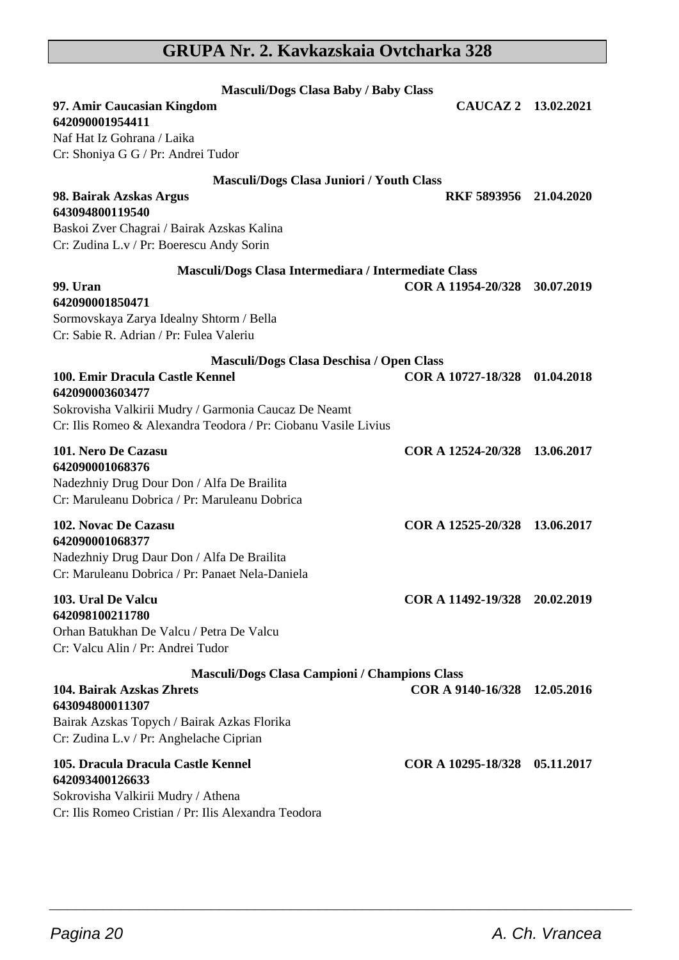# **GRUPA Nr. 2. Kavkazskaia Ovtcharka 328**

| <b>Masculi/Dogs Clasa Baby / Baby Class</b>                    |                               |  |
|----------------------------------------------------------------|-------------------------------|--|
| 97. Amir Caucasian Kingdom<br>642090001954411                  | CAUCAZ 2 13.02.2021           |  |
| Naf Hat Iz Gohrana / Laika                                     |                               |  |
| Cr: Shoniya G G / Pr: Andrei Tudor                             |                               |  |
| Masculi/Dogs Clasa Juniori / Youth Class                       |                               |  |
| 98. Bairak Azskas Argus                                        | RKF 5893956 21.04.2020        |  |
| 643094800119540                                                |                               |  |
| Baskoi Zver Chagrai / Bairak Azskas Kalina                     |                               |  |
| Cr: Zudina L.v / Pr: Boerescu Andy Sorin                       |                               |  |
| Masculi/Dogs Clasa Intermediara / Intermediate Class           |                               |  |
| 99. Uran<br>642090001850471                                    | COR A 11954-20/328 30.07.2019 |  |
| Sormovskaya Zarya Idealny Shtorm / Bella                       |                               |  |
| Cr: Sabie R. Adrian / Pr: Fulea Valeriu                        |                               |  |
| Masculi/Dogs Clasa Deschisa / Open Class                       |                               |  |
| 100. Emir Dracula Castle Kennel                                | COR A 10727-18/328 01.04.2018 |  |
| 642090003603477                                                |                               |  |
| Sokrovisha Valkirii Mudry / Garmonia Caucaz De Neamt           |                               |  |
| Cr: Ilis Romeo & Alexandra Teodora / Pr: Ciobanu Vasile Livius |                               |  |
| 101. Nero De Cazasu                                            | COR A 12524-20/328 13.06.2017 |  |
| 642090001068376                                                |                               |  |
| Nadezhniy Drug Dour Don / Alfa De Brailita                     |                               |  |
| Cr: Maruleanu Dobrica / Pr: Maruleanu Dobrica                  |                               |  |
| 102. Novac De Cazasu                                           | COR A 12525-20/328 13.06.2017 |  |
| 642090001068377                                                |                               |  |
| Nadezhniy Drug Daur Don / Alfa De Brailita                     |                               |  |
| Cr: Maruleanu Dobrica / Pr: Panaet Nela-Daniela                |                               |  |
| 103. Ural De Valcu                                             | COR A 11492-19/328 20.02.2019 |  |
| 642098100211780                                                |                               |  |
| Orhan Batukhan De Valcu / Petra De Valcu                       |                               |  |
| Cr: Valcu Alin / Pr: Andrei Tudor                              |                               |  |
| <b>Masculi/Dogs Clasa Campioni / Champions Class</b>           |                               |  |
| 104. Bairak Azskas Zhrets<br>643094800011307                   | COR A 9140-16/328 12.05.2016  |  |
| Bairak Azskas Topych / Bairak Azkas Florika                    |                               |  |
| Cr: Zudina L.v / Pr: Anghelache Ciprian                        |                               |  |
| 105. Dracula Dracula Castle Kennel                             | COR A 10295-18/328 05.11.2017 |  |
| 642093400126633                                                |                               |  |
| Sokrovisha Valkirii Mudry / Athena                             |                               |  |
| Cr: Ilis Romeo Cristian / Pr: Ilis Alexandra Teodora           |                               |  |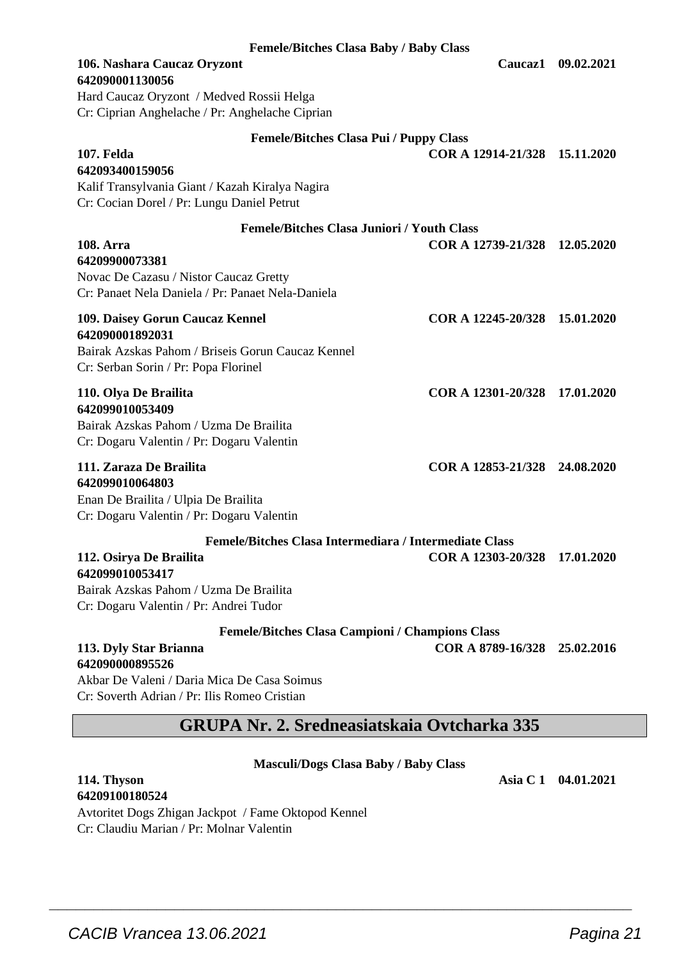| <b>Femele/Bitches Clasa Baby / Baby Class</b>                                    |                               |                    |
|----------------------------------------------------------------------------------|-------------------------------|--------------------|
| 106. Nashara Caucaz Oryzont<br>642090001130056                                   |                               | Caucaz1 09.02.2021 |
| Hard Caucaz Oryzont / Medved Rossii Helga                                        |                               |                    |
| Cr: Ciprian Anghelache / Pr: Anghelache Ciprian                                  |                               |                    |
| Femele/Bitches Clasa Pui / Puppy Class                                           |                               |                    |
| 107. Felda<br>642093400159056<br>Kalif Transylvania Giant / Kazah Kiralya Nagira | COR A 12914-21/328 15.11.2020 |                    |
| Cr: Cocian Dorel / Pr: Lungu Daniel Petrut                                       |                               |                    |
|                                                                                  |                               |                    |
| <b>Femele/Bitches Clasa Juniori / Youth Class</b>                                |                               |                    |
| <b>108. Arra</b>                                                                 | COR A 12739-21/328 12.05.2020 |                    |
| 64209900073381<br>Novac De Cazasu / Nistor Caucaz Gretty                         |                               |                    |
| Cr: Panaet Nela Daniela / Pr: Panaet Nela-Daniela                                |                               |                    |
|                                                                                  |                               |                    |
| 109. Daisey Gorun Caucaz Kennel                                                  | COR A 12245-20/328 15.01.2020 |                    |
| 642090001892031<br>Bairak Azskas Pahom / Briseis Gorun Caucaz Kennel             |                               |                    |
| Cr: Serban Sorin / Pr: Popa Florinel                                             |                               |                    |
|                                                                                  |                               |                    |
| 110. Olya De Brailita                                                            | COR A 12301-20/328 17.01.2020 |                    |
| 642099010053409                                                                  |                               |                    |
| Bairak Azskas Pahom / Uzma De Brailita                                           |                               |                    |
| Cr: Dogaru Valentin / Pr: Dogaru Valentin                                        |                               |                    |
| 111. Zaraza De Brailita                                                          | COR A 12853-21/328 24.08.2020 |                    |
| 642099010064803                                                                  |                               |                    |
| Enan De Brailita / Ulpia De Brailita                                             |                               |                    |
| Cr: Dogaru Valentin / Pr: Dogaru Valentin                                        |                               |                    |
| Femele/Bitches Clasa Intermediara / Intermediate Class                           |                               |                    |
| 112. Osirya De Brailita                                                          | COR A 12303-20/328 17.01.2020 |                    |
| 642099010053417                                                                  |                               |                    |
| Bairak Azskas Pahom / Uzma De Brailita<br>Cr: Dogaru Valentin / Pr: Andrei Tudor |                               |                    |
| Femele/Bitches Clasa Campioni / Champions Class                                  |                               |                    |
| 113. Dyly Star Brianna                                                           | COR A 8789-16/328 25.02.2016  |                    |
| 642090000895526                                                                  |                               |                    |
| Akbar De Valeni / Daria Mica De Casa Soimus                                      |                               |                    |
| Cr: Soverth Adrian / Pr: Ilis Romeo Cristian                                     |                               |                    |
| <b>GRUPA Nr. 2. Sredneasiatskaia Ovtcharka 335</b>                               |                               |                    |

#### **Masculi/Dogs Clasa Baby / Baby Class**

 $\overline{\phantom{a}}$  , and the set of the set of the set of the set of the set of the set of the set of the set of the set of the set of the set of the set of the set of the set of the set of the set of the set of the set of the s

**64209100180524** Avtoritet Dogs Zhigan Jackpot / Fame Oktopod Kennel Cr: Claudiu Marian / Pr: Molnar Valentin

**114. Thyson Asia C 1 04.01.2021**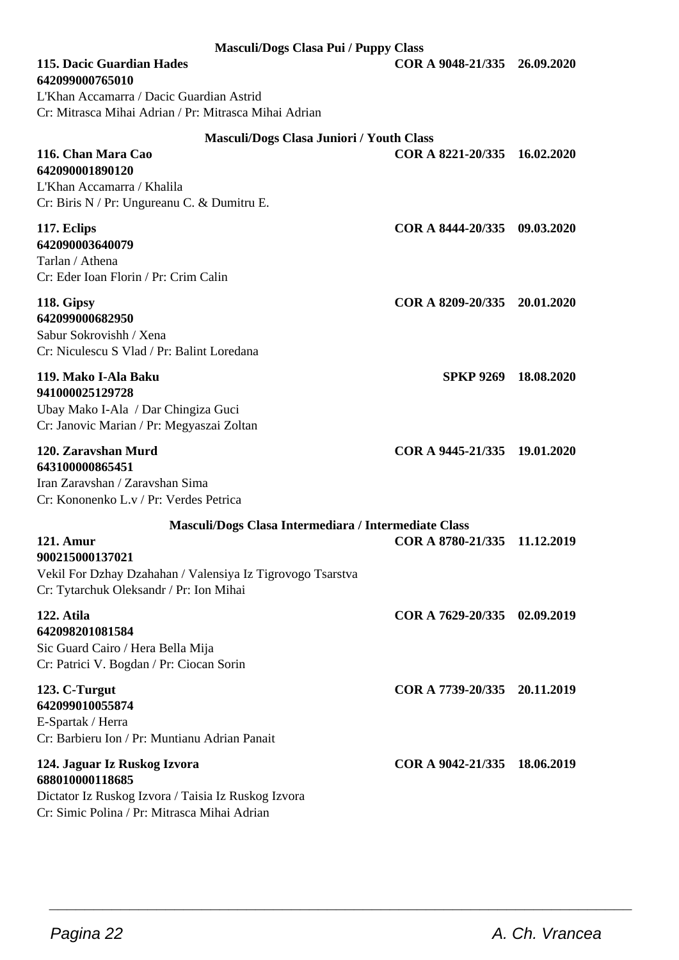| Masculi/Dogs Clasa Pui / Puppy Class                                                                  |                              |            |
|-------------------------------------------------------------------------------------------------------|------------------------------|------------|
| 115. Dacic Guardian Hades<br>642099000765010                                                          | COR A 9048-21/335 26.09.2020 |            |
| L'Khan Accamarra / Dacic Guardian Astrid<br>Cr: Mitrasca Mihai Adrian / Pr: Mitrasca Mihai Adrian     |                              |            |
| <b>Masculi/Dogs Clasa Juniori / Youth Class</b>                                                       |                              |            |
| 116. Chan Mara Cao<br>642090001890120                                                                 | COR A 8221-20/335            | 16.02.2020 |
| L'Khan Accamarra / Khalila<br>Cr: Biris N / Pr: Ungureanu C. & Dumitru E.                             |                              |            |
| 117. Eclips                                                                                           | COR A 8444-20/335 09.03.2020 |            |
| 642090003640079<br>Tarlan / Athena                                                                    |                              |            |
| Cr: Eder Ioan Florin / Pr: Crim Calin                                                                 |                              |            |
| 118. Gipsy                                                                                            | COR A 8209-20/335 20.01.2020 |            |
| 642099000682950<br>Sabur Sokrovishh / Xena                                                            |                              |            |
| Cr: Niculescu S Vlad / Pr: Balint Loredana                                                            |                              |            |
| 119. Mako I-Ala Baku                                                                                  | SPKP 9269 18.08.2020         |            |
| 941000025129728                                                                                       |                              |            |
| Ubay Mako I-Ala / Dar Chingiza Guci<br>Cr: Janovic Marian / Pr: Megyaszai Zoltan                      |                              |            |
| 120. Zaravshan Murd                                                                                   | COR A 9445-21/335 19.01.2020 |            |
| 643100000865451                                                                                       |                              |            |
| Iran Zaravshan / Zaravshan Sima<br>Cr: Kononenko L.v / Pr: Verdes Petrica                             |                              |            |
| Masculi/Dogs Clasa Intermediara / Intermediate Class                                                  |                              |            |
| 121. Amur                                                                                             | COR A 8780-21/335 11.12.2019 |            |
| 900215000137021                                                                                       |                              |            |
| Vekil For Dzhay Dzahahan / Valensiya Iz Tigrovogo Tsarstva<br>Cr: Tytarchuk Oleksandr / Pr: Ion Mihai |                              |            |
| 122. Atila                                                                                            | COR A 7629-20/335 02.09.2019 |            |
| 642098201081584<br>Sic Guard Cairo / Hera Bella Mija                                                  |                              |            |
| Cr: Patrici V. Bogdan / Pr: Ciocan Sorin                                                              |                              |            |
| 123. C-Turgut                                                                                         | COR A 7739-20/335 20.11.2019 |            |
| 642099010055874<br>E-Spartak / Herra                                                                  |                              |            |
| Cr: Barbieru Ion / Pr: Muntianu Adrian Panait                                                         |                              |            |
| 124. Jaguar Iz Ruskog Izvora                                                                          | COR A 9042-21/335 18.06.2019 |            |
| 688010000118685<br>Dictator Iz Ruskog Izvora / Taisia Iz Ruskog Izvora                                |                              |            |
| Cr: Simic Polina / Pr: Mitrasca Mihai Adrian                                                          |                              |            |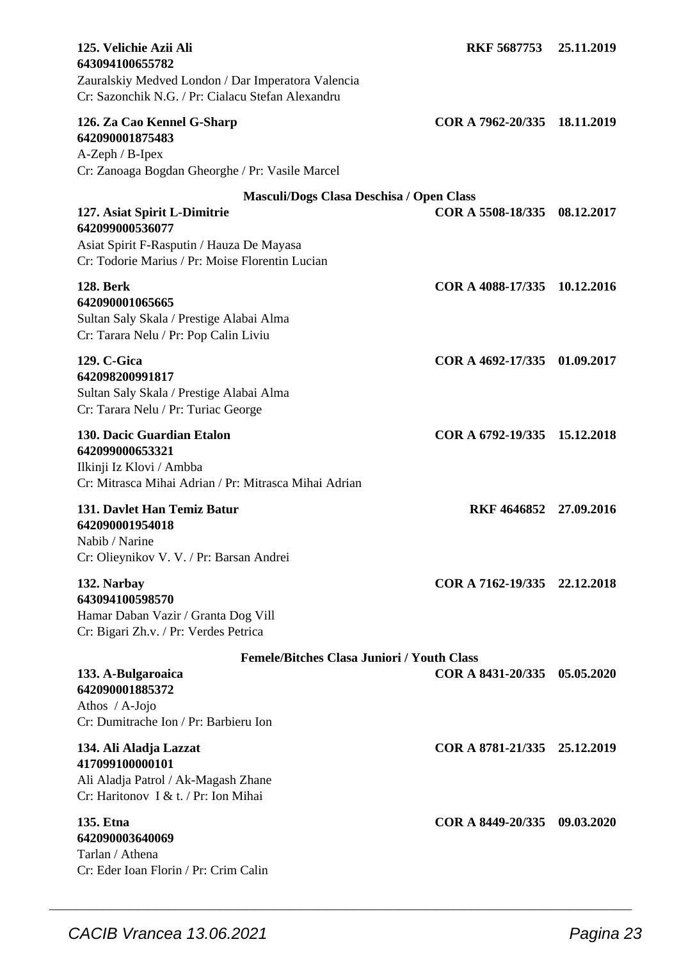| 125. Velichie Azii Ali<br>643094100655782<br>Zauralskiy Medved London / Dar Imperatora Valencia<br>Cr: Sazonchik N.G. / Pr: Cialacu Stefan Alexandru | <b>RKF 5687753</b>           | 25.11.2019 |
|------------------------------------------------------------------------------------------------------------------------------------------------------|------------------------------|------------|
| 126. Za Cao Kennel G-Sharp<br>642090001875483<br>A-Zeph / B-Ipex<br>Cr: Zanoaga Bogdan Gheorghe / Pr: Vasile Marcel                                  | COR A 7962-20/335            | 18.11.2019 |
| Masculi/Dogs Clasa Deschisa / Open Class                                                                                                             |                              |            |
| 127. Asiat Spirit L-Dimitrie<br>642099000536077<br>Asiat Spirit F-Rasputin / Hauza De Mayasa                                                         | COR A 5508-18/335            | 08.12.2017 |
| Cr: Todorie Marius / Pr: Moise Florentin Lucian                                                                                                      |                              |            |
| <b>128. Berk</b><br>642090001065665<br>Sultan Saly Skala / Prestige Alabai Alma<br>Cr: Tarara Nelu / Pr: Pop Calin Liviu                             | COR A 4088-17/335 10.12.2016 |            |
| 129. C-Gica<br>642098200991817<br>Sultan Saly Skala / Prestige Alabai Alma<br>Cr: Tarara Nelu / Pr: Turiac George                                    | COR A 4692-17/335 01.09.2017 |            |
| 130. Dacic Guardian Etalon<br>642099000653321<br>Ilkinji Iz Klovi / Ambba<br>Cr: Mitrasca Mihai Adrian / Pr: Mitrasca Mihai Adrian                   | COR A 6792-19/335 15.12.2018 |            |
| 131. Davlet Han Temiz Batur<br>642090001954018<br>Nabib / Narine<br>Cr: Olieynikov V. V. / Pr: Barsan Andrei                                         | RKF 4646852 27.09.2016       |            |
| 132. Narbay<br>643094100598570<br>Hamar Daban Vazir / Granta Dog Vill<br>Cr: Bigari Zh.v. / Pr: Verdes Petrica                                       | COR A 7162-19/335 22.12.2018 |            |
| <b>Femele/Bitches Clasa Juniori / Youth Class</b>                                                                                                    |                              |            |
| 133. A-Bulgaroaica<br>642090001885372<br>Athos / $A-Jojo$<br>Cr: Dumitrache Ion / Pr: Barbieru Ion                                                   | COR A 8431-20/335            | 05.05.2020 |
| 134. Ali Aladja Lazzat<br>417099100000101<br>Ali Aladja Patrol / Ak-Magash Zhane<br>Cr: Haritonov I & t. / Pr: Ion Mihai                             | COR A 8781-21/335 25.12.2019 |            |
| 135. Etna<br>642090003640069<br>Tarlan / Athena<br>Cr: Eder Ioan Florin / Pr: Crim Calin                                                             | COR A 8449-20/335 09.03.2020 |            |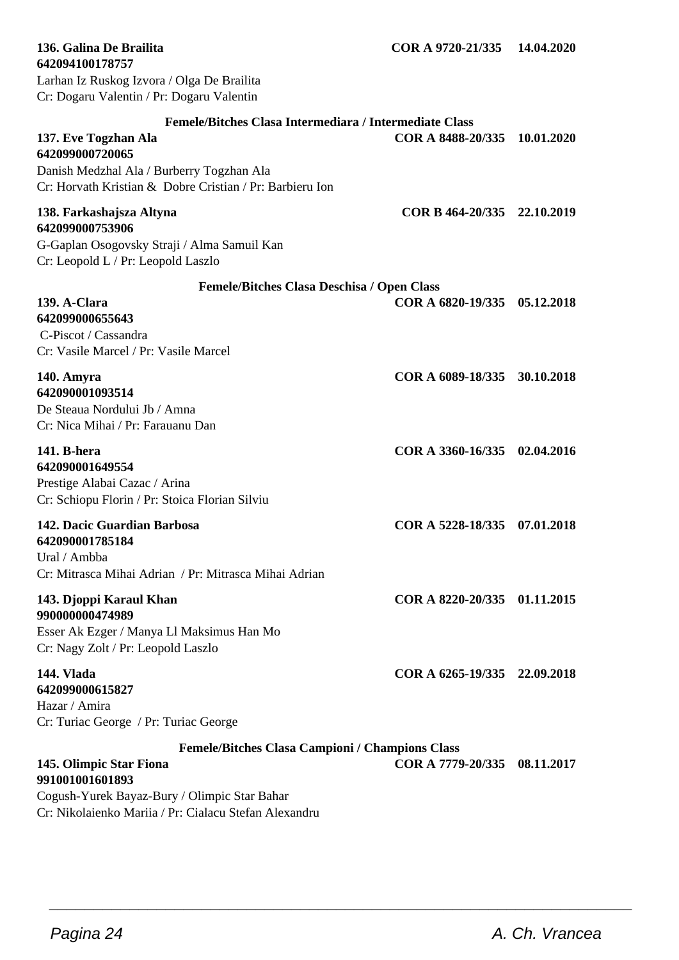**139. A-Clara COR A 6820-19/335 05.12.2018 642099000655643** C-Piscot / Cassandra Cr: Vasile Marcel / Pr: Vasile Marcel **140. Amyra COR A 6089-18/335 30.10.2018 642090001093514** De Steaua Nordului Jb / Amna Cr: Nica Mihai / Pr: Farauanu Dan

#### **141. B-hera COR A 3360-16/335 02.04.2016 642090001649554** Prestige Alabai Cazac / Arina

Cr: Schiopu Florin / Pr: Stoica Florian Silviu

**142. Dacic Guardian Barbosa COR A 5228-18/335 07.01.2018 642090001785184** Ural / Ambba Cr: Mitrasca Mihai Adrian / Pr: Mitrasca Mihai Adrian **143. Djoppi Karaul Khan COR A 8220-20/335 01.11.2015 990000000474989** Esser Ak Ezger / Manya Ll Maksimus Han Mo

Cr: Nagy Zolt / Pr: Leopold Laszlo

Cr: Turiac George / Pr: Turiac George

# **Femele/Bitches Clasa Campioni / Champions Class**

# **144. Vlada COR A 6265-19/335 22.09.2018**

# **642099000615827**

Hazar / Amira

#### **Femele/Bitches Clasa Intermediara / Intermediate Class 137. Eve Togzhan Ala COR A 8488-20/335 10.01.2020**

**Femele/Bitches Clasa Deschisa / Open Class**

**642099000720065** Danish Medzhal Ala / Burberry Togzhan Ala Cr: Horvath Kristian & Dobre Cristian / Pr: Barbieru Ion

# **138. Farkashajsza Altyna COR B 464-20/335 22.10.2019**

**642094100178757**

**642099000753906** G-Gaplan Osogovsky Straji / Alma Samuil Kan Cr: Leopold L / Pr: Leopold Laszlo

Larhan Iz Ruskog Izvora / Olga De Brailita Cr: Dogaru Valentin / Pr: Dogaru Valentin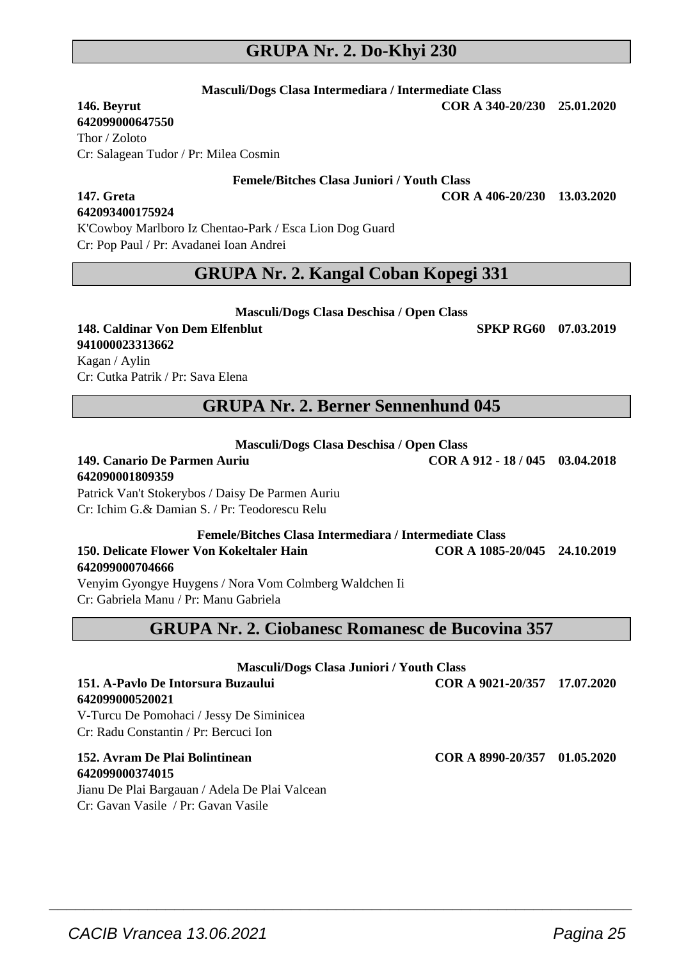# **GRUPA Nr. 2. Do-Khyi 230**

**Masculi/Dogs Clasa Intermediara / Intermediate Class**

**642099000647550** Thor / Zoloto Cr: Salagean Tudor / Pr: Milea Cosmin

**Femele/Bitches Clasa Juniori / Youth Class**

**147. Greta COR A 406-20/230 13.03.2020**

# **642093400175924**

K'Cowboy Marlboro Iz Chentao-Park / Esca Lion Dog Guard Cr: Pop Paul / Pr: Avadanei Ioan Andrei

# **GRUPA Nr. 2. Kangal Coban Kopegi 331**

**Masculi/Dogs Clasa Deschisa / Open Class**

#### **148. Caldinar Von Dem Elfenblut SPKP RG60 07.03.2019 941000023313662** Kagan / Aylin Cr: Cutka Patrik / Pr: Sava Elena

# **GRUPA Nr. 2. Berner Sennenhund 045**

**Masculi/Dogs Clasa Deschisa / Open Class**

**149. Canario De Parmen Auriu COR A 912 - 18 / 045 03.04.2018 642090001809359** Patrick Van't Stokerybos / Daisy De Parmen Auriu

Cr: Ichim G.& Damian S. / Pr: Teodorescu Relu

**Femele/Bitches Clasa Intermediara / Intermediate Class 150. Delicate Flower Von Kokeltaler Hain COR A 1085-20/045 24.10.2019 642099000704666**

Venyim Gyongye Huygens / Nora Vom Colmberg Waldchen Ii Cr: Gabriela Manu / Pr: Manu Gabriela

# **GRUPA Nr. 2. Ciobanesc Romanesc de Bucovina 357**

| Masculi/Dogs Clasa Juniori / Youth Class       |                              |  |
|------------------------------------------------|------------------------------|--|
| 151. A-Pavlo De Intorsura Buzaului             | COR A 9021-20/357 17.07.2020 |  |
| 642099000520021                                |                              |  |
| V-Turcu De Pomohaci / Jessy De Siminicea       |                              |  |
| Cr: Radu Constantin / Pr: Bercuci Ion          |                              |  |
| 152. Avram De Plai Bolintinean                 | COR A 8990-20/357 01.05.2020 |  |
| 642099000374015                                |                              |  |
| Jianu De Plai Bargauan / Adela De Plai Valcean |                              |  |
| Cr: Gavan Vasile / Pr: Gavan Vasile            |                              |  |

 $\overline{\phantom{a}}$  , and the set of the set of the set of the set of the set of the set of the set of the set of the set of the set of the set of the set of the set of the set of the set of the set of the set of the set of the s

**146. Beyrut COR A 340-20/230 25.01.2020**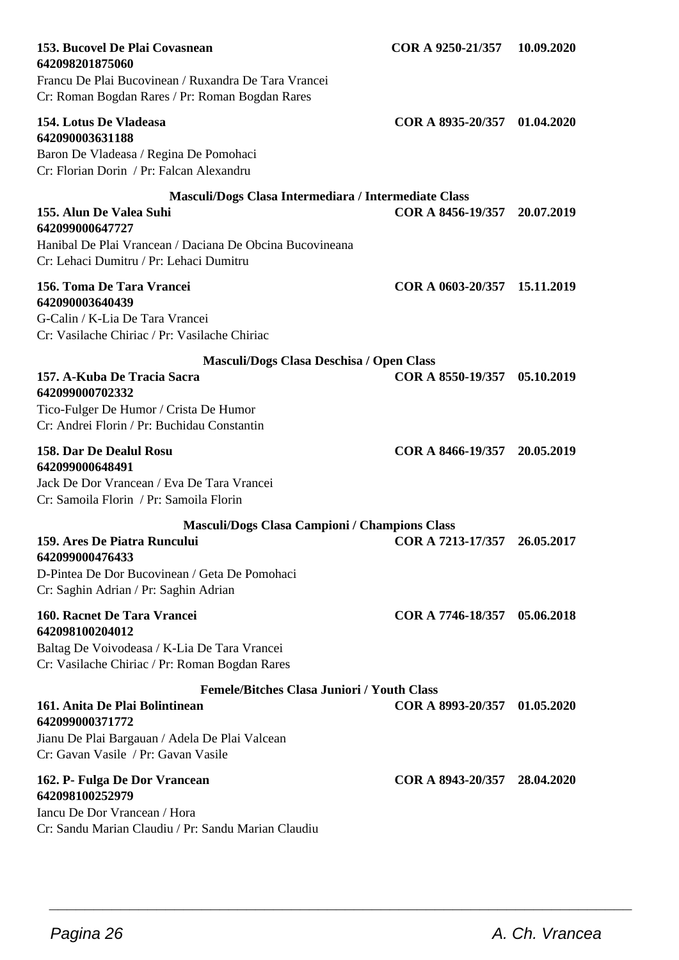| 153. Bucovel De Plai Covasnean<br>642098201875060<br>Francu De Plai Bucovinean / Ruxandra De Tara Vrancei<br>Cr: Roman Bogdan Rares / Pr: Roman Bogdan Rares | COR A 9250-21/357            | 10.09.2020 |
|--------------------------------------------------------------------------------------------------------------------------------------------------------------|------------------------------|------------|
| 154. Lotus De Vladeasa<br>642090003631188<br>Baron De Vladeasa / Regina De Pomohaci<br>Cr: Florian Dorin / Pr: Falcan Alexandru                              | COR A 8935-20/357 01.04.2020 |            |
| Masculi/Dogs Clasa Intermediara / Intermediate Class                                                                                                         |                              |            |
| 155. Alun De Valea Suhi<br>642099000647727<br>Hanibal De Plai Vrancean / Daciana De Obcina Bucovineana<br>Cr: Lehaci Dumitru / Pr: Lehaci Dumitru            | COR A 8456-19/357 20.07.2019 |            |
| 156. Toma De Tara Vrancei<br>642090003640439<br>G-Calin / K-Lia De Tara Vrancei<br>Cr: Vasilache Chiriac / Pr: Vasilache Chiriac                             | COR A 0603-20/357 15.11.2019 |            |
| Masculi/Dogs Clasa Deschisa / Open Class                                                                                                                     |                              |            |
| 157. A-Kuba De Tracia Sacra<br>642099000702332<br>Tico-Fulger De Humor / Crista De Humor<br>Cr: Andrei Florin / Pr: Buchidau Constantin                      | COR A 8550-19/357 05.10.2019 |            |
| 158. Dar De Dealul Rosu<br>642099000648491<br>Jack De Dor Vrancean / Eva De Tara Vrancei<br>Cr: Samoila Florin / Pr: Samoila Florin                          | COR A 8466-19/357 20.05.2019 |            |
| <b>Masculi/Dogs Clasa Campioni / Champions Class</b>                                                                                                         |                              |            |
| 159. Ares De Piatra Runcului<br>642099000476433<br>D-Pintea De Dor Bucovinean / Geta De Pomohaci<br>Cr: Saghin Adrian / Pr: Saghin Adrian                    | COR A 7213-17/357 26.05.2017 |            |
| 160. Racnet De Tara Vrancei<br>642098100204012<br>Baltag De Voivodeasa / K-Lia De Tara Vrancei<br>Cr: Vasilache Chiriac / Pr: Roman Bogdan Rares             | COR A 7746-18/357 05.06.2018 |            |
| <b>Femele/Bitches Clasa Juniori / Youth Class</b>                                                                                                            |                              |            |
| 161. Anita De Plai Bolintinean<br>642099000371772<br>Jianu De Plai Bargauan / Adela De Plai Valcean<br>Cr: Gavan Vasile / Pr: Gavan Vasile                   | COR A 8993-20/357 01.05.2020 |            |
| 162. P- Fulga De Dor Vrancean<br>642098100252979<br>Iancu De Dor Vrancean / Hora<br>Cr: Sandu Marian Claudiu / Pr: Sandu Marian Claudiu                      | COR A 8943-20/357 28.04.2020 |            |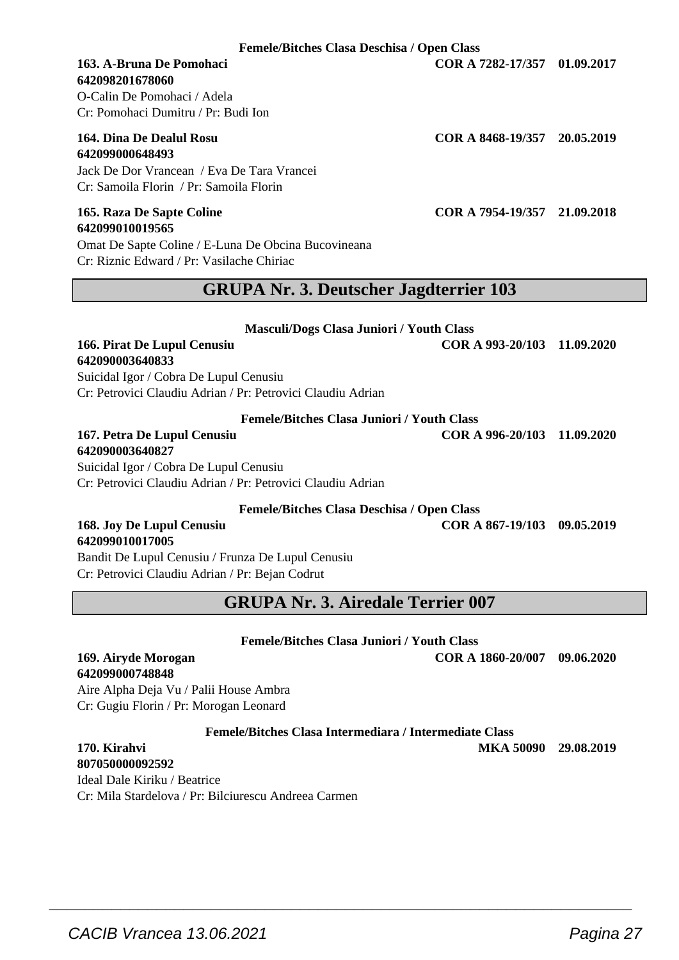**Femele/Bitches Clasa Deschisa / Open Class**

# **642098201678060**

O-Calin De Pomohaci / Adela Cr: Pomohaci Dumitru / Pr: Budi Ion

#### **164. Dina De Dealul Rosu COR A 8468-19/357 20.05.2019 642099000648493**

Jack De Dor Vrancean / Eva De Tara Vrancei Cr: Samoila Florin / Pr: Samoila Florin

# **642099010019565**

Omat De Sapte Coline / E-Luna De Obcina Bucovineana Cr: Riznic Edward / Pr: Vasilache Chiriac

### **GRUPA Nr. 3. Deutscher Jagdterrier 103**

#### **Masculi/Dogs Clasa Juniori / Youth Class**

#### **166. Pirat De Lupul Cenusiu COR A 993-20/103 11.09.2020 642090003640833**

Suicidal Igor / Cobra De Lupul Cenusiu Cr: Petrovici Claudiu Adrian / Pr: Petrovici Claudiu Adrian

**Femele/Bitches Clasa Juniori / Youth Class**

**167. Petra De Lupul Cenusiu COR A 996-20/103 11.09.2020**

**642090003640827**

Suicidal Igor / Cobra De Lupul Cenusiu Cr: Petrovici Claudiu Adrian / Pr: Petrovici Claudiu Adrian

**Femele/Bitches Clasa Deschisa / Open Class**

#### **168. Joy De Lupul Cenusiu COR A 867-19/103 09.05.2019 642099010017005**

Bandit De Lupul Cenusiu / Frunza De Lupul Cenusiu Cr: Petrovici Claudiu Adrian / Pr: Bejan Codrut

**GRUPA Nr. 3. Airedale Terrier 007**

#### **Femele/Bitches Clasa Juniori / Youth Class**

**169. Airyde Morogan COR A 1860-20/007 09.06.2020**

Aire Alpha Deja Vu / Palii House Ambra Cr: Gugiu Florin / Pr: Morogan Leonard

**Femele/Bitches Clasa Intermediara / Intermediate Class**

 $\overline{\phantom{a}}$  , and the set of the set of the set of the set of the set of the set of the set of the set of the set of the set of the set of the set of the set of the set of the set of the set of the set of the set of the s

**807050000092592**

**642099000748848**

Ideal Dale Kiriku / Beatrice Cr: Mila Stardelova / Pr: Bilciurescu Andreea Carmen

**163. A-Bruna De Pomohaci COR A 7282-17/357 01.09.2017**

**165. Raza De Sapte Coline COR A 7954-19/357 21.09.2018**

**170. Kirahvi MKA 50090 29.08.2019**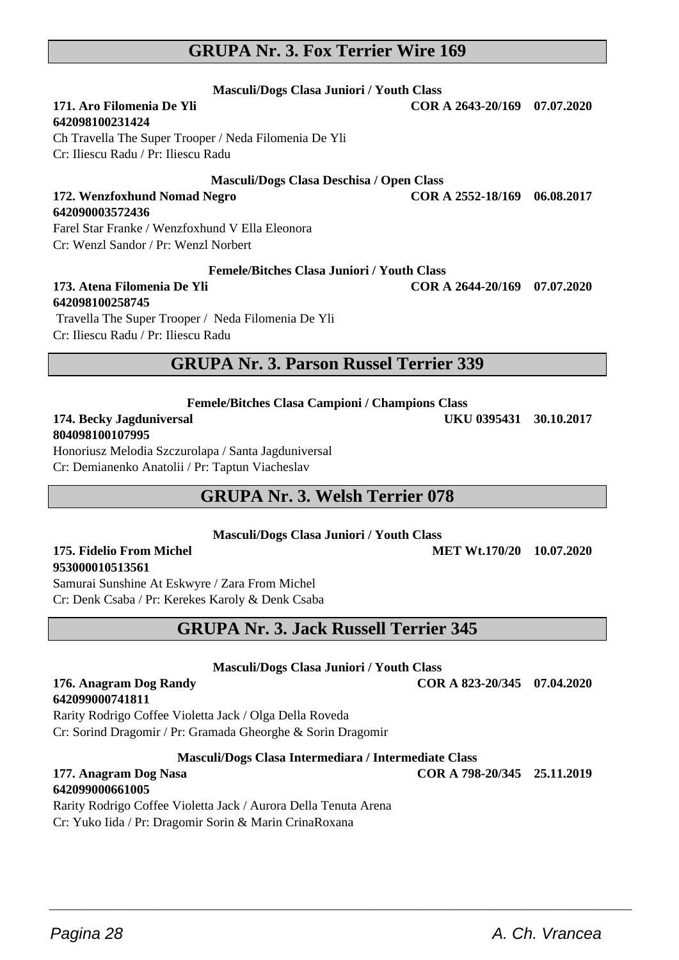# Pagina 28 **A. Ch. Vrancea A. Ch. Vrancea**

 $\overline{\phantom{a}}$  , and the set of the set of the set of the set of the set of the set of the set of the set of the set of the set of the set of the set of the set of the set of the set of the set of the set of the set of the s

# **GRUPA Nr. 3. Fox Terrier Wire 169**

**Masculi/Dogs Clasa Juniori / Youth Class**

# **171. Aro Filomenia De Yli COR A 2643-20/169 07.07.2020**

#### **642098100231424**

**642090003572436**

Ch Travella The Super Trooper / Neda Filomenia De Yli Cr: Iliescu Radu / Pr: Iliescu Radu

#### **Masculi/Dogs Clasa Deschisa / Open Class**

**172. Wenzfoxhund Nomad Negro COR A 2552-18/169 06.08.2017**

Farel Star Franke / Wenzfoxhund V Ella Eleonora

Cr: Wenzl Sandor / Pr: Wenzl Norbert

#### **Femele/Bitches Clasa Juniori / Youth Class**

#### **173. Atena Filomenia De Yli COR A 2644-20/169 07.07.2020 642098100258745**

 Travella The Super Trooper / Neda Filomenia De Yli Cr: Iliescu Radu / Pr: Iliescu Radu

### **GRUPA Nr. 3. Parson Russel Terrier 339**

**Femele/Bitches Clasa Campioni / Champions Class**

# **804098100107995**

Honoriusz Melodia Szczurolapa / Santa Jagduniversal Cr: Demianenko Anatolii / Pr: Taptun Viacheslav

### **GRUPA Nr. 3. Welsh Terrier 078**

**Masculi/Dogs Clasa Juniori / Youth Class**

#### **175. Fidelio From Michel MET Wt.170/20 10.07.2020 953000010513561**

Samurai Sunshine At Eskwyre / Zara From Michel Cr: Denk Csaba / Pr: Kerekes Karoly & Denk Csaba

# **GRUPA Nr. 3. Jack Russell Terrier 345**

**Masculi/Dogs Clasa Juniori / Youth Class**

#### **176. Anagram Dog Randy COR A 823-20/345 07.04.2020 642099000741811**

Rarity Rodrigo Coffee Violetta Jack / Olga Della Roveda Cr: Sorind Dragomir / Pr: Gramada Gheorghe & Sorin Dragomir

#### **Masculi/Dogs Clasa Intermediara / Intermediate Class**

# **177. Anagram Dog Nasa COR A 798-20/345 25.11.2019**

#### **642099000661005**

Rarity Rodrigo Coffee Violetta Jack / Aurora Della Tenuta Arena Cr: Yuko Iida / Pr: Dragomir Sorin & Marin CrinaRoxana

**174. Becky Jagduniversal UKU 0395431 30.10.2017**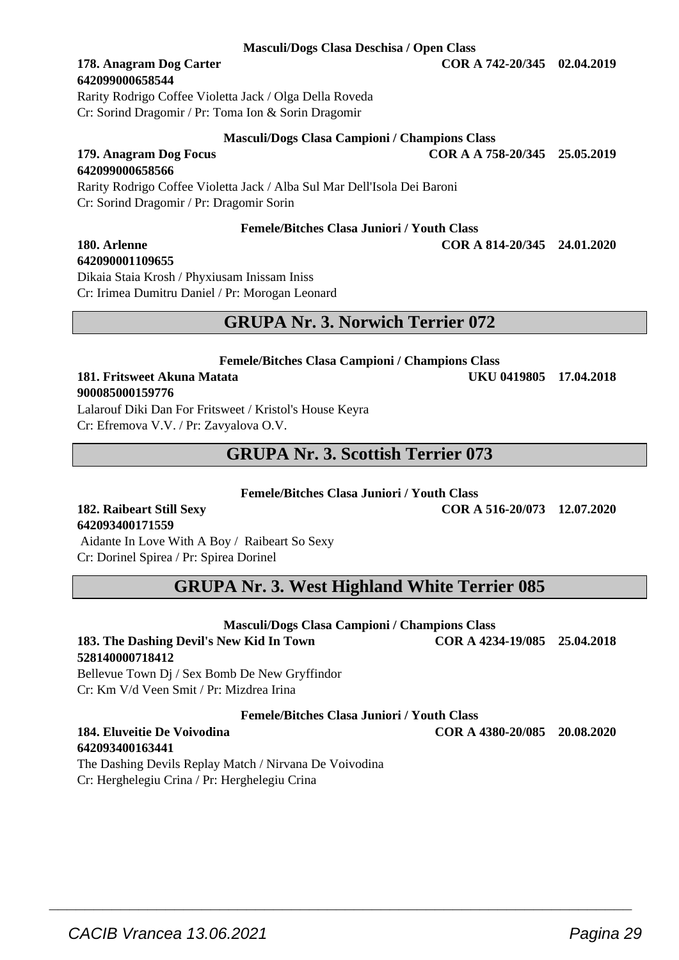#### **Masculi/Dogs Clasa Deschisa / Open Class**

# **642099000658544**

Rarity Rodrigo Coffee Violetta Jack / Olga Della Roveda Cr: Sorind Dragomir / Pr: Toma Ion & Sorin Dragomir

#### **Masculi/Dogs Clasa Campioni / Champions Class**

**Femele/Bitches Clasa Juniori / Youth Class**

**179. Anagram Dog Focus COR A A 758-20/345 25.05.2019**

# **642099000658566**

#### Rarity Rodrigo Coffee Violetta Jack / Alba Sul Mar Dell'Isola Dei Baroni Cr: Sorind Dragomir / Pr: Dragomir Sorin

# **642090001109655**

Dikaia Staia Krosh / Phyxiusam Inissam Iniss Cr: Irimea Dumitru Daniel / Pr: Morogan Leonard

### **GRUPA Nr. 3. Norwich Terrier 072**

#### **Femele/Bitches Clasa Campioni / Champions Class 181. Fritsweet Akuna Matata UKU 0419805 17.04.2018 900085000159776**

Lalarouf Diki Dan For Fritsweet / Kristol's House Keyra Cr: Efremova V.V. / Pr: Zavyalova O.V.

### **GRUPA Nr. 3. Scottish Terrier 073**

#### **Femele/Bitches Clasa Juniori / Youth Class**

# **642093400171559**

 Aidante In Love With A Boy / Raibeart So Sexy Cr: Dorinel Spirea / Pr: Spirea Dorinel

## **GRUPA Nr. 3. West Highland White Terrier 085**

#### **Masculi/Dogs Clasa Campioni / Champions Class 183. The Dashing Devil's New Kid In Town COR A 4234-19/085 25.04.2018**

**528140000718412** Bellevue Town Dj / Sex Bomb De New Gryffindor Cr: Km V/d Veen Smit / Pr: Mizdrea Irina

**Femele/Bitches Clasa Juniori / Youth Class**

 $\overline{\phantom{a}}$  , and the set of the set of the set of the set of the set of the set of the set of the set of the set of the set of the set of the set of the set of the set of the set of the set of the set of the set of the s

#### **184. Eluveitie De Voivodina COR A 4380-20/085 20.08.2020 642093400163441**

The Dashing Devils Replay Match / Nirvana De Voivodina Cr: Herghelegiu Crina / Pr: Herghelegiu Crina

**182. Raibeart Still Sexy COR A 516-20/073 12.07.2020**

**180. Arlenne COR A 814-20/345 24.01.2020**

**178. Anagram Dog Carter COR A 742-20/345 02.04.2019**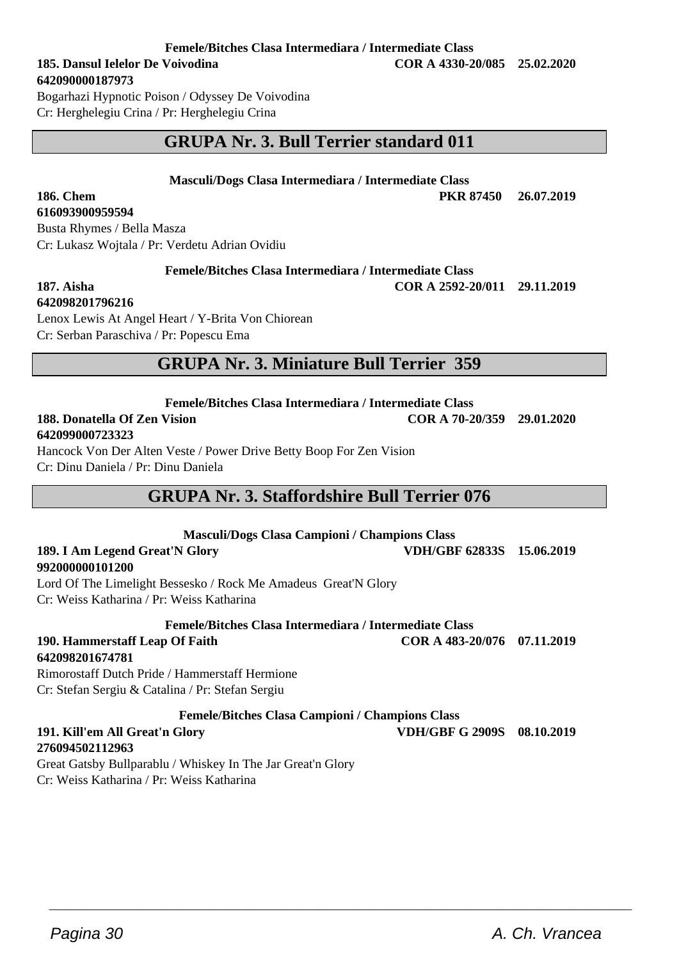**Femele/Bitches Clasa Intermediara / Intermediate Class**

**642090000187973** Bogarhazi Hypnotic Poison / Odyssey De Voivodina

Cr: Herghelegiu Crina / Pr: Herghelegiu Crina

# **GRUPA Nr. 3. Bull Terrier standard 011**

**Masculi/Dogs Clasa Intermediara / Intermediate Class**

**186. Chem PKR 87450 26.07.2019**

Busta Rhymes / Bella Masza Cr: Lukasz Wojtala / Pr: Verdetu Adrian Ovidiu

**Femele/Bitches Clasa Intermediara / Intermediate Class**

**187. Aisha COR A 2592-20/011 29.11.2019**

**642098201796216**

**616093900959594**

Lenox Lewis At Angel Heart / Y-Brita Von Chiorean Cr: Serban Paraschiva / Pr: Popescu Ema

### **GRUPA Nr. 3. Miniature Bull Terrier 359**

**Femele/Bitches Clasa Intermediara / Intermediate Class**

#### **188. Donatella Of Zen Vision COR A 70-20/359 29.01.2020 642099000723323**

Hancock Von Der Alten Veste / Power Drive Betty Boop For Zen Vision Cr: Dinu Daniela / Pr: Dinu Daniela

# **GRUPA Nr. 3. Staffordshire Bull Terrier 076**

#### **Masculi/Dogs Clasa Campioni / Champions Class 189. I Am Legend Great'N Glory VDH/GBF 62833S 15.06.2019 992000000101200** Lord Of The Limelight Bessesko / Rock Me Amadeus Great'N Glory

Cr: Weiss Katharina / Pr: Weiss Katharina

**Femele/Bitches Clasa Intermediara / Intermediate Class**

**190. Hammerstaff Leap Of Faith COR A 483-20/076 07.11.2019 642098201674781**

Rimorostaff Dutch Pride / Hammerstaff Hermione Cr: Stefan Sergiu & Catalina / Pr: Stefan Sergiu

**Femele/Bitches Clasa Campioni / Champions Class**

 $\overline{\phantom{a}}$  , and the set of the set of the set of the set of the set of the set of the set of the set of the set of the set of the set of the set of the set of the set of the set of the set of the set of the set of the s

#### **191. Kill'em All Great'n Glory VDH/GBF G 2909S 08.10.2019 276094502112963**

Great Gatsby Bullparablu / Whiskey In The Jar Great'n Glory Cr: Weiss Katharina / Pr: Weiss Katharina

**185. Dansul Ielelor De Voivodina COR A 4330-20/085 25.02.2020**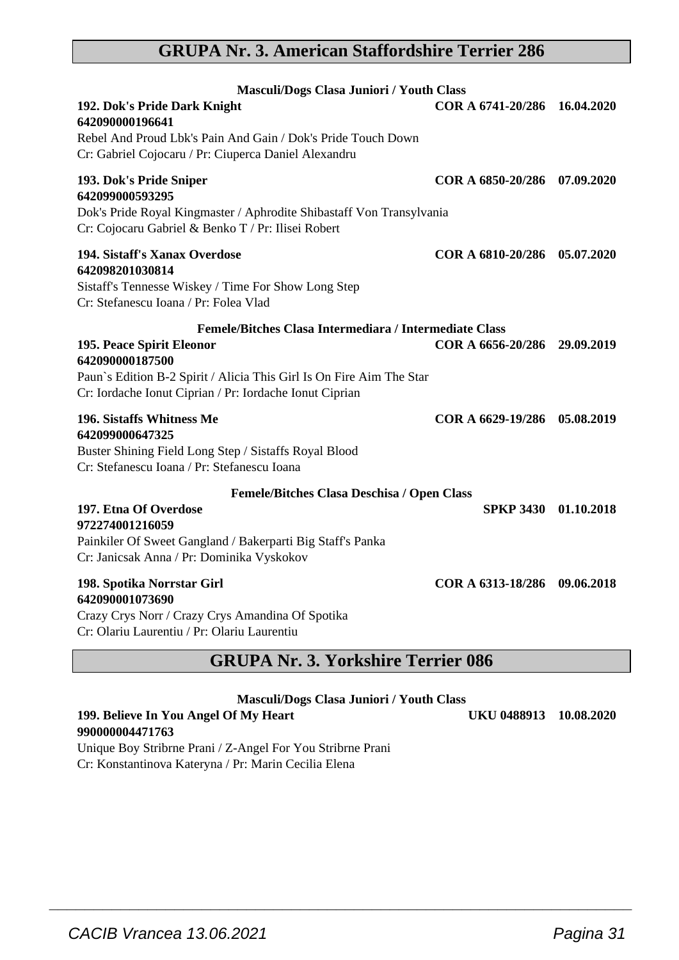# **GRUPA Nr. 3. American Staffordshire Terrier 286**

| Masculi/Dogs Clasa Juniori / Youth Class                                                                                                                                                                                                  |                              |            |
|-------------------------------------------------------------------------------------------------------------------------------------------------------------------------------------------------------------------------------------------|------------------------------|------------|
| 192. Dok's Pride Dark Knight<br>642090000196641<br>Rebel And Proud Lbk's Pain And Gain / Dok's Pride Touch Down<br>Cr: Gabriel Cojocaru / Pr: Ciuperca Daniel Alexandru                                                                   | COR A 6741-20/286 16.04.2020 |            |
| 193. Dok's Pride Sniper<br>642099000593295<br>Dok's Pride Royal Kingmaster / Aphrodite Shibastaff Von Transylvania<br>Cr: Cojocaru Gabriel & Benko T / Pr: Ilisei Robert                                                                  | COR A 6850-20/286 07.09.2020 |            |
| 194. Sistaff's Xanax Overdose<br>642098201030814<br>Sistaff's Tennesse Wiskey / Time For Show Long Step<br>Cr: Stefanescu Ioana / Pr: Folea Vlad                                                                                          | COR A 6810-20/286            | 05.07.2020 |
| Femele/Bitches Clasa Intermediara / Intermediate Class<br>195. Peace Spirit Eleonor<br>642090000187500<br>Paun's Edition B-2 Spirit / Alicia This Girl Is On Fire Aim The Star<br>Cr: Iordache Ionut Ciprian / Pr: Iordache Ionut Ciprian | COR A 6656-20/286            | 29.09.2019 |
| 196. Sistaffs Whitness Me<br>642099000647325<br>Buster Shining Field Long Step / Sistaffs Royal Blood<br>Cr: Stefanescu Ioana / Pr: Stefanescu Ioana                                                                                      | COR A 6629-19/286            | 05.08.2019 |
| Femele/Bitches Clasa Deschisa / Open Class                                                                                                                                                                                                |                              |            |
| 197. Etna Of Overdose<br>972274001216059<br>Painkiler Of Sweet Gangland / Bakerparti Big Staff's Panka<br>Cr: Janicsak Anna / Pr: Dominika Vyskokov                                                                                       | SPKP 3430 01.10.2018         |            |
| 198. Spotika Norrstar Girl<br>642090001073690<br>Crazy Crys Norr / Crazy Crys Amandina Of Spotika<br>Cr: Olariu Laurentiu / Pr: Olariu Laurentiu                                                                                          | COR A 6313-18/286 09.06.2018 |            |

### **GRUPA Nr. 3. Yorkshire Terrier 086**

| Masculi/Dogs Clasa Juniori / Youth Class |                        |  |  |
|------------------------------------------|------------------------|--|--|
| 199. Believe In You Angel Of My Heart    | UKU 0488913 10.08.2020 |  |  |
| 990000004471763                          |                        |  |  |

 $\overline{\phantom{a}}$  , and the set of the set of the set of the set of the set of the set of the set of the set of the set of the set of the set of the set of the set of the set of the set of the set of the set of the set of the s

Unique Boy Stribrne Prani / Z-Angel For You Stribrne Prani Cr: Konstantinova Kateryna / Pr: Marin Cecilia Elena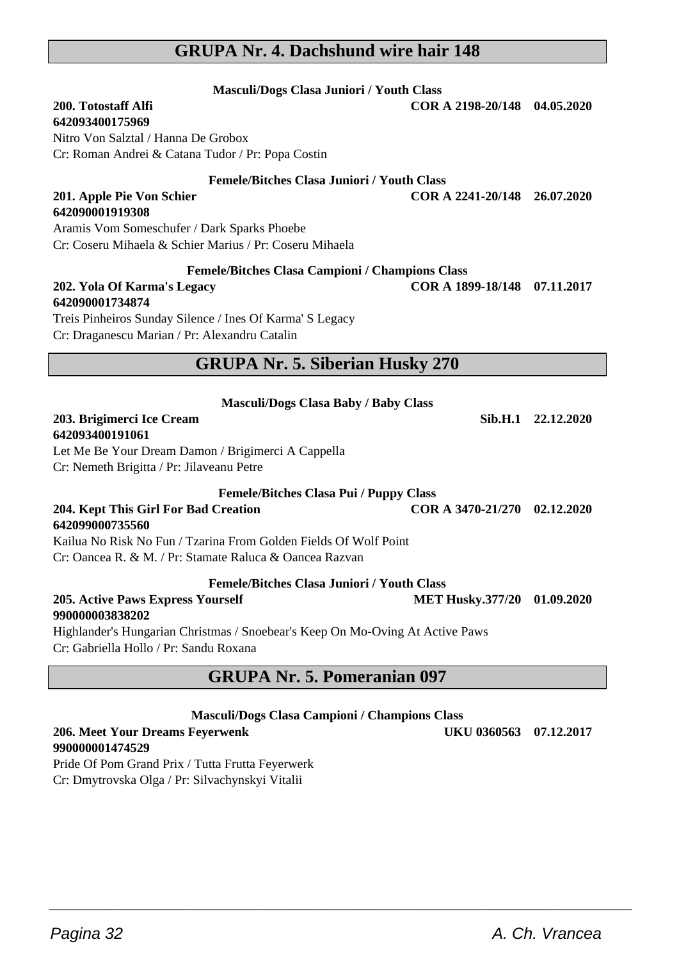#### **GRUPA Nr. 4. Dachshund wire hair 148**

**Masculi/Dogs Clasa Juniori / Youth Class**

Cr: Coseru Mihaela & Schier Marius / Pr: Coseru Mihaela **Femele/Bitches Clasa Campioni / Champions Class 202. Yola Of Karma's Legacy COR A 1899-18/148 07.11.2017 642090001734874** Treis Pinheiros Sunday Silence / Ines Of Karma' S Legacy

Cr: Draganescu Marian / Pr: Alexandru Catalin

# **GRUPA Nr. 5. Siberian Husky 270**

| <b>Masculi/Dogs Clasa Baby / Baby Class</b>                      |                              |                    |
|------------------------------------------------------------------|------------------------------|--------------------|
| 203. Brigimerci Ice Cream                                        |                              | Sib.H.1 22.12.2020 |
| 642093400191061                                                  |                              |                    |
| Let Me Be Your Dream Damon / Brigimerci A Cappella               |                              |                    |
| Cr: Nemeth Brigitta / Pr: Jilaveanu Petre                        |                              |                    |
| <b>Femele/Bitches Clasa Pui / Puppy Class</b>                    |                              |                    |
| 204. Kept This Girl For Bad Creation<br>642099000735560          | COR A 3470-21/270 02.12.2020 |                    |
| Kailua No Risk No Fun / Tzarina From Golden Fields Of Wolf Point |                              |                    |
| Cr: Oancea R. & M. / Pr: Stamate Raluca & Oancea Razvan          |                              |                    |
| <b>Femele/Bitches Clasa Juniori / Youth Class</b>                |                              |                    |
| 205. Active Paws Express Yourself                                | MET Husky.377/20 01.09.2020  |                    |

# **990000003838202**

Highlander's Hungarian Christmas / Snoebear's Keep On Mo-Oving At Active Paws Cr: Gabriella Hollo / Pr: Sandu Roxana

# **GRUPA Nr. 5. Pomeranian 097**

| <b>Masculi/Dogs Clasa Campioni / Champions Class</b> |                        |  |
|------------------------------------------------------|------------------------|--|
| 206. Meet Your Dreams Feyerwenk                      | UKU 0360563 07.12.2017 |  |
| 0.00000004171780                                     |                        |  |

# **990000001474529**

Pride Of Pom Grand Prix / Tutta Frutta Feyerwerk Cr: Dmytrovska Olga / Pr: Silvachynskyi Vitalii

| 200. Totostaff Alfi |  |
|---------------------|--|
| 642002400175060     |  |

**642093400175969** Nitro Von Salztal / Hanna De Grobox Cr: Roman Andrei & Catana Tudor / Pr: Popa Costin

Aramis Vom Someschufer / Dark Sparks Phoebe

**Femele/Bitches Clasa Juniori / Youth Class**

**201. Apple Pie Von Schier COR A 2241-20/148 26.07.2020**

**200. Totostaff Alfi COR A 2198-20/148 04.05.2020**

**642090001919308**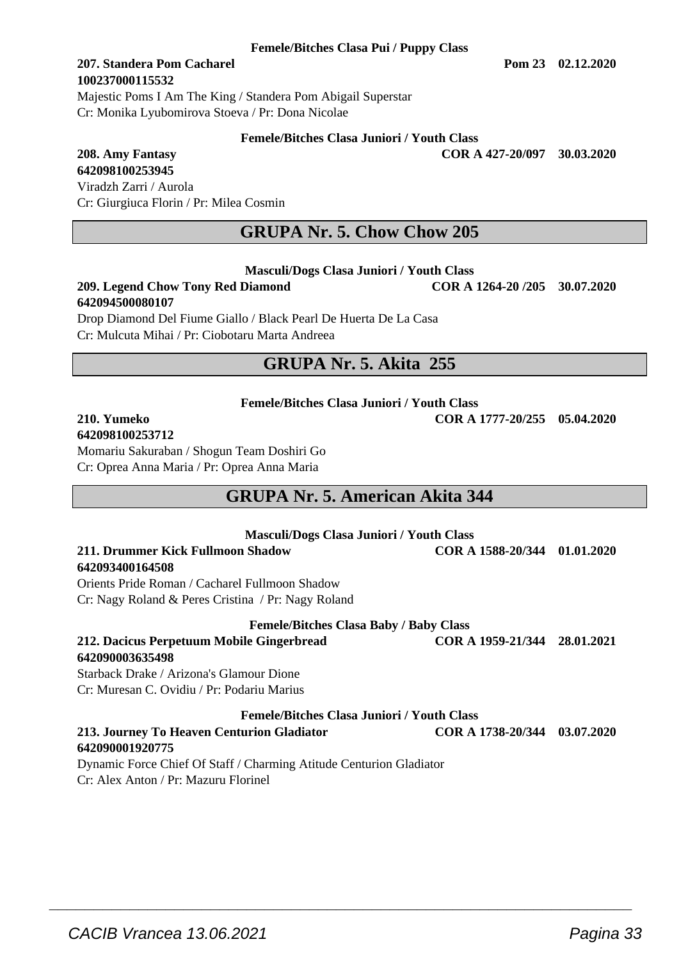#### **207. Standera Pom Cacharel Pom 23 02.12.2020 100237000115532** Majestic Poms I Am The King / Standera Pom Abigail Superstar

Cr: Monika Lyubomirova Stoeva / Pr: Dona Nicolae

#### **Femele/Bitches Clasa Juniori / Youth Class**

**208. Amy Fantasy COR A 427-20/097 30.03.2020**

**642098100253945** Viradzh Zarri / Aurola Cr: Giurgiuca Florin / Pr: Milea Cosmin

# **GRUPA Nr. 5. Chow Chow 205**

#### **Masculi/Dogs Clasa Juniori / Youth Class**

**209. Legend Chow Tony Red Diamond COR A 1264-20 /205 30.07.2020 642094500080107**

Drop Diamond Del Fiume Giallo / Black Pearl De Huerta De La Casa Cr: Mulcuta Mihai / Pr: Ciobotaru Marta Andreea

### **GRUPA Nr. 5. Akita 255**

**Femele/Bitches Clasa Juniori / Youth Class**

#### **210. Yumeko COR A 1777-20/255 05.04.2020 642098100253712**

Momariu Sakuraban / Shogun Team Doshiri Go Cr: Oprea Anna Maria / Pr: Oprea Anna Maria

# **GRUPA Nr. 5. American Akita 344**

| <b>Masculi/Dogs Clasa Juniori / Youth Class</b>               |                              |            |
|---------------------------------------------------------------|------------------------------|------------|
| 211. Drummer Kick Fullmoon Shadow                             | COR A 1588-20/344 01.01.2020 |            |
| 642093400164508                                               |                              |            |
| Orients Pride Roman / Cacharel Fullmoon Shadow                |                              |            |
| Cr: Nagy Roland & Peres Cristina / Pr: Nagy Roland            |                              |            |
| <b>Femele/Bitches Clasa Baby / Baby Class</b>                 |                              |            |
| 212. Dacicus Perpetuum Mobile Gingerbread                     | COR A 1959-21/344 28.01.2021 |            |
| 642090003635498                                               |                              |            |
| Starback Drake / Arizona's Glamour Dione                      |                              |            |
| Cr: Muresan C. Ovidiu / Pr: Podariu Marius                    |                              |            |
| <b>Femele/Bitches Clasa Juniori / Youth Class</b>             |                              |            |
| 213. Journey To Heaven Centurion Gladiator<br>642090001920775 | COR A 1738-20/344            | 03.07.2020 |

 $\overline{\phantom{a}}$  , and the set of the set of the set of the set of the set of the set of the set of the set of the set of the set of the set of the set of the set of the set of the set of the set of the set of the set of the s

Dynamic Force Chief Of Staff / Charming Atitude Centurion Gladiator Cr: Alex Anton / Pr: Mazuru Florinel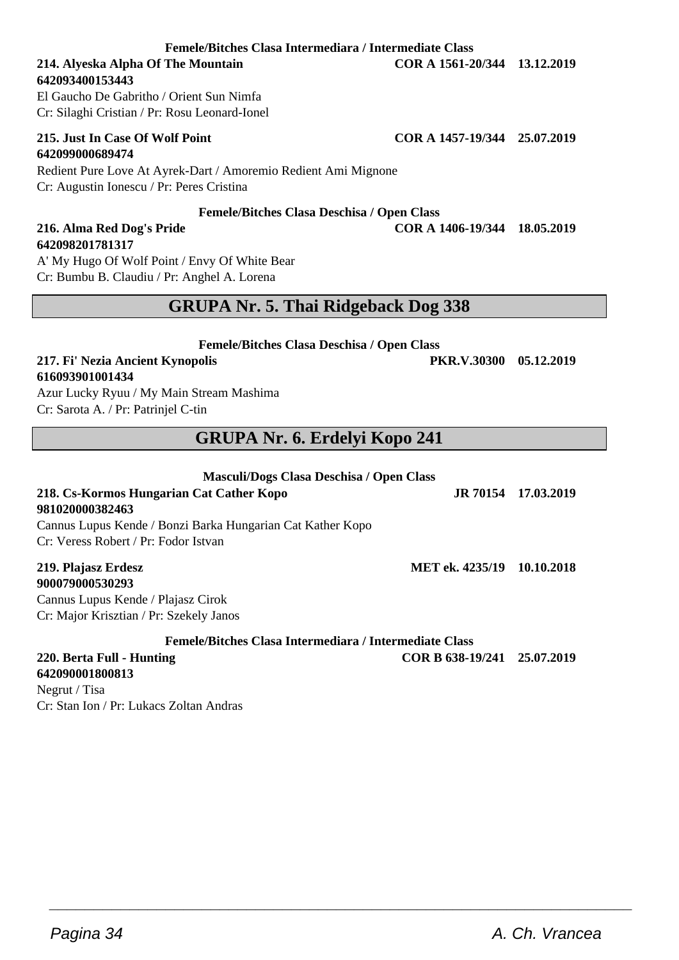### **Femele/Bitches Clasa Intermediara / Intermediate Class**

**642093400153443** El Gaucho De Gabritho / Orient Sun Nimfa

Cr: Silaghi Cristian / Pr: Rosu Leonard-Ionel

# **642099000689474**

Redient Pure Love At Ayrek-Dart / Amoremio Redient Ami Mignone Cr: Augustin Ionescu / Pr: Peres Cristina

#### **Femele/Bitches Clasa Deschisa / Open Class**

### **216. Alma Red Dog's Pride COR A 1406-19/344 18.05.2019 642098201781317**

A' My Hugo Of Wolf Point / Envy Of White Bear Cr: Bumbu B. Claudiu / Pr: Anghel A. Lorena

# **GRUPA Nr. 5. Thai Ridgeback Dog 338**

**Femele/Bitches Clasa Deschisa / Open Class**

**217. Fi' Nezia Ancient Kynopolis PKR.V.30300 05.12.2019 616093901001434**

Azur Lucky Ryuu / My Main Stream Mashima Cr: Sarota A. / Pr: Patrinjel C-tin

# **GRUPA Nr. 6. Erdelyi Kopo 241**

| Masculi/Dogs Clasa Deschisa / Open Class                   |                            |                     |
|------------------------------------------------------------|----------------------------|---------------------|
| 218. Cs-Kormos Hungarian Cat Cather Kopo                   |                            | JR 70154 17.03.2019 |
| 981020000382463                                            |                            |                     |
| Cannus Lupus Kende / Bonzi Barka Hungarian Cat Kather Kopo |                            |                     |
| Cr: Veress Robert / Pr: Fodor Istvan                       |                            |                     |
| 219. Plajasz Erdesz                                        | MET ek. 4235/19 10.10.2018 |                     |
| 900079000530293                                            |                            |                     |
| Cannus Lupus Kende / Plajasz Cirok                         |                            |                     |
| Cr: Major Krisztian / Pr: Szekely Janos                    |                            |                     |

**Femele/Bitches Clasa Intermediara / Intermediate Class**

 $\overline{\phantom{a}}$  , and the set of the set of the set of the set of the set of the set of the set of the set of the set of the set of the set of the set of the set of the set of the set of the set of the set of the set of the s

# **220. Berta Full - Hunting COR B 638-19/241 25.07.2019**

**642090001800813** Negrut / Tisa Cr: Stan Ion / Pr: Lukacs Zoltan Andras

**214. Alyeska Alpha Of The Mountain COR A 1561-20/344 13.12.2019**

**215. Just In Case Of Wolf Point COR A 1457-19/344 25.07.2019**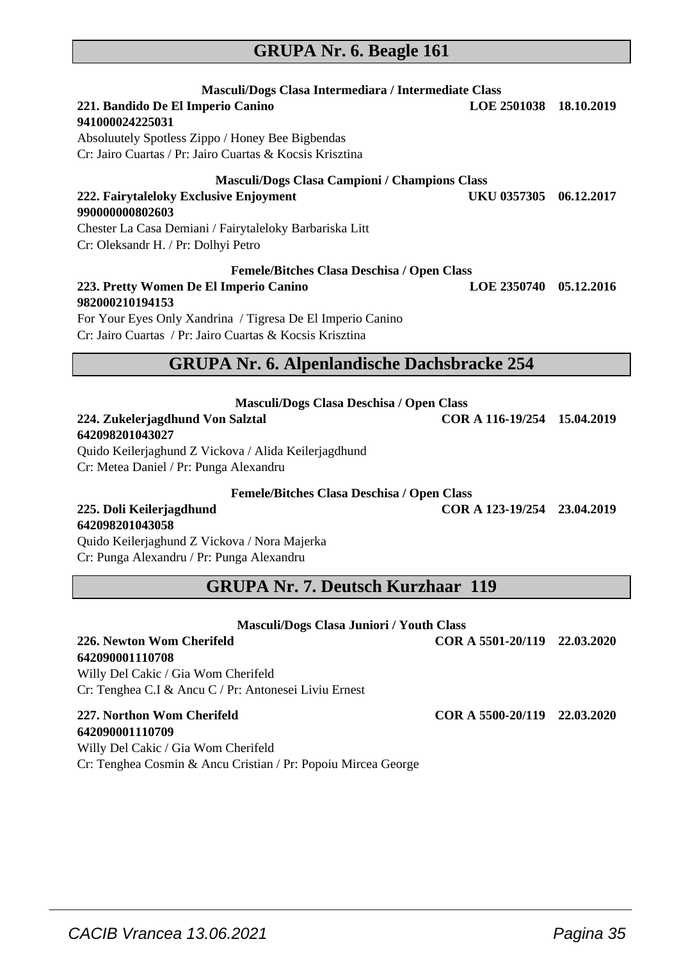### **GRUPA Nr. 6. Beagle 161**

| Masculi/Dogs Clasa Intermediara / Intermediate Class     |                        |            |
|----------------------------------------------------------|------------------------|------------|
| 221. Bandido De El Imperio Canino                        | LOE 2501038 18.10.2019 |            |
| 941000024225031                                          |                        |            |
| Absoluutely Spotless Zippo / Honey Bee Bigbendas         |                        |            |
| Cr: Jairo Cuartas / Pr: Jairo Cuartas & Kocsis Krisztina |                        |            |
| <b>Masculi/Dogs Clasa Campioni / Champions Class</b>     |                        |            |
| 222. Fairytaleloky Exclusive Enjoyment                   | UKU 0357305            | 06.12.2017 |
| 990000000802603                                          |                        |            |
| Chester La Casa Demiani / Fairytaleloky Barbariska Litt  |                        |            |
| Cr: Oleksandr H. / Pr: Dolhyi Petro                      |                        |            |
| <b>Femele/Bitches Clasa Deschisa / Open Class</b>        |                        |            |
| 223. Pretty Women De El Imperio Canino                   | <b>LOE 2350740</b>     | 05.12.2016 |
| 982000210194153                                          |                        |            |

For Your Eyes Only Xandrina / Tigresa De El Imperio Canino Cr: Jairo Cuartas / Pr: Jairo Cuartas & Kocsis Krisztina

### **GRUPA Nr. 6. Alpenlandische Dachsbracke 254**

| Masculi/Dogs Clasa Deschisa / Open Class |                             |  |
|------------------------------------------|-----------------------------|--|
| 224. Zukelerjagdhund Von Salztal         | COR A 116-19/254 15.04.2019 |  |
| 642098201043027                          |                             |  |

Quido Keilerjaghund Z Vickova / Alida Keilerjagdhund Cr: Metea Daniel / Pr: Punga Alexandru

**Femele/Bitches Clasa Deschisa / Open Class**

# **642098201043058**

**225. Doli Keilerjagdhund COR A 123-19/254 23.04.2019**

Quido Keilerjaghund Z Vickova / Nora Majerka Cr: Punga Alexandru / Pr: Punga Alexandru

**GRUPA Nr. 7. Deutsch Kurzhaar 119**

| <b>Masculi/Dogs Clasa Juniori / Youth Class</b>               |                              |  |
|---------------------------------------------------------------|------------------------------|--|
| 226. Newton Wom Cherifeld                                     | COR A 5501-20/119 22.03.2020 |  |
| 642090001110708                                               |                              |  |
| Willy Del Cakic / Gia Wom Cherifeld                           |                              |  |
| Cr: Tenghea C.I & Ancu C / Pr: Antonesei Liviu Ernest         |                              |  |
| 227. Northon Wom Cherifeld                                    | COR A 5500-20/119 22.03.2020 |  |
| 642090001110709                                               |                              |  |
| Willy Del Cakic / Gia Wom Cherifeld                           |                              |  |
| Cr: Tenghea Cosmin & Ancu Cristian / Pr: Popoiu Mircea George |                              |  |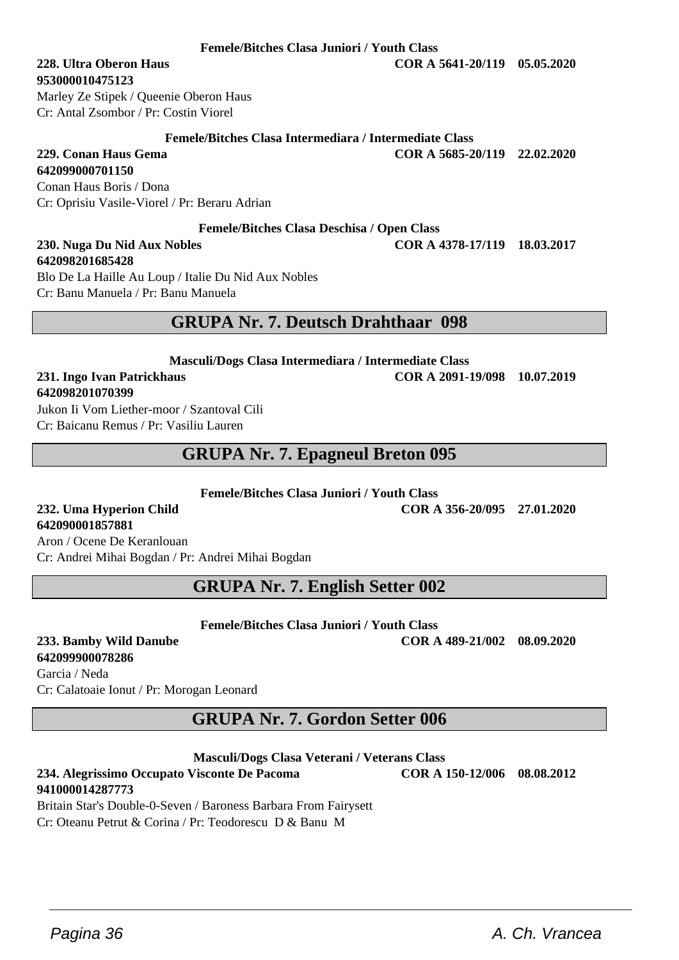**Femele/Bitches Clasa Juniori / Youth Class**

**953000010475123** Marley Ze Stipek / Queenie Oberon Haus

Cr: Antal Zsombor / Pr: Costin Viorel

# **Femele/Bitches Clasa Intermediara / Intermediate Class**<br> **COR A 5685-2**<br> **COR A 5685-2**

**229. Conan Haus Gema COR A 5685-20/119 22.02.2020**

#### **642099000701150**

Conan Haus Boris / Dona Cr: Oprisiu Vasile-Viorel / Pr: Beraru Adrian

#### **Femele/Bitches Clasa Deschisa / Open Class**

# **642098201685428**

Blo De La Haille Au Loup / Italie Du Nid Aux Nobles Cr: Banu Manuela / Pr: Banu Manuela

# **GRUPA Nr. 7. Deutsch Drahthaar 098**

**Masculi/Dogs Clasa Intermediara / Intermediate Class**

#### **231. Ingo Ivan Patrickhaus COR A 2091-19/098 10.07.2019 642098201070399**

Jukon Ii Vom Liether-moor / Szantoval Cili Cr: Baicanu Remus / Pr: Vasiliu Lauren

## **GRUPA Nr. 7. Epagneul Breton 095**

**Femele/Bitches Clasa Juniori / Youth Class**

#### **232. Uma Hyperion Child COR A 356-20/095 27.01.2020 642090001857881** Aron / Ocene De Keranlouan

Cr: Andrei Mihai Bogdan / Pr: Andrei Mihai Bogdan

**GRUPA Nr. 7. English Setter 002**

**Femele/Bitches Clasa Juniori / Youth Class**

**642099900078286** Garcia / Neda Cr: Calatoaie Ionut / Pr: Morogan Leonard

# **GRUPA Nr. 7. Gordon Setter 006**

**Masculi/Dogs Clasa Veterani / Veterans Class**

 $\overline{\phantom{a}}$  , and the set of the set of the set of the set of the set of the set of the set of the set of the set of the set of the set of the set of the set of the set of the set of the set of the set of the set of the s

### **234. Alegrissimo Occupato Visconte De Pacoma COR A 150-12/006 08.08.2012 941000014287773**

Britain Star's Double-0-Seven / Baroness Barbara From Fairysett Cr: Oteanu Petrut & Corina / Pr: Teodorescu D & Banu M

**233. Bamby Wild Danube COR A 489-21/002 08.09.2020**

**228. Ultra Oberon Haus COR A 5641-20/119 05.05.2020**

**230. Nuga Du Nid Aux Nobles COR A 4378-17/119 18.03.2017**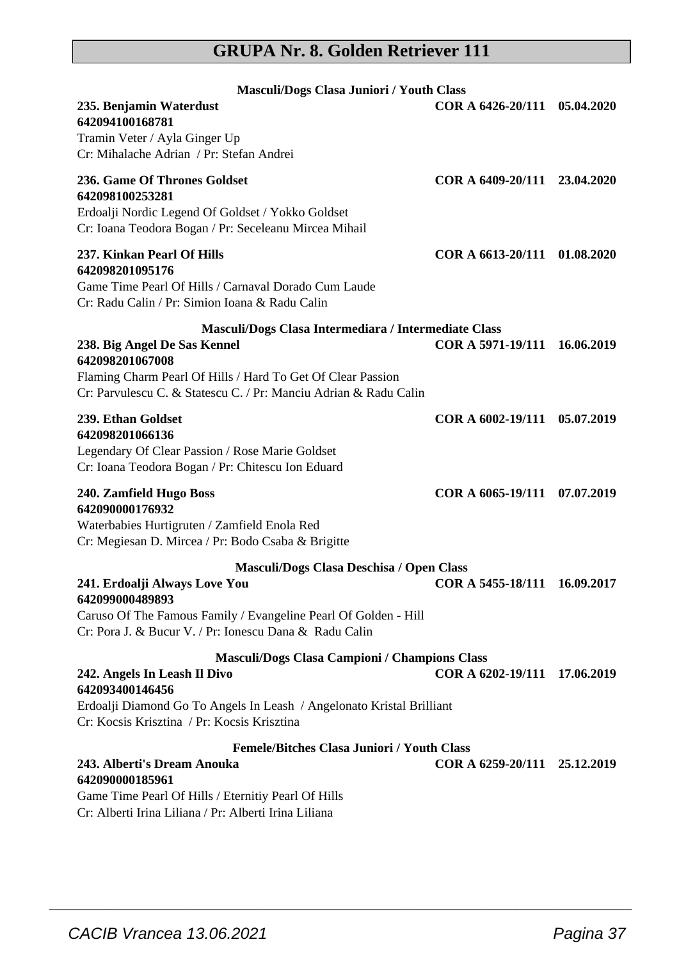# **GRUPA Nr. 8. Golden Retriever 111**

| Masculi/Dogs Clasa Juniori / Youth Class<br>235. Benjamin Waterdust<br>642094100168781<br>Tramin Veter / Ayla Ginger Up<br>Cr: Mihalache Adrian / Pr: Stefan Andrei                                                                        | COR A 6426-20/111 05.04.2020 |            |
|--------------------------------------------------------------------------------------------------------------------------------------------------------------------------------------------------------------------------------------------|------------------------------|------------|
| 236. Game Of Thrones Goldset<br>642098100253281<br>Erdoalji Nordic Legend Of Goldset / Yokko Goldset<br>Cr: Ioana Teodora Bogan / Pr: Seceleanu Mircea Mihail                                                                              | COR A 6409-20/111 23.04.2020 |            |
| 237. Kinkan Pearl Of Hills<br>642098201095176<br>Game Time Pearl Of Hills / Carnaval Dorado Cum Laude<br>Cr: Radu Calin / Pr: Simion Ioana & Radu Calin                                                                                    | COR A 6613-20/111 01.08.2020 |            |
| Masculi/Dogs Clasa Intermediara / Intermediate Class<br>238. Big Angel De Sas Kennel<br>642098201067008<br>Flaming Charm Pearl Of Hills / Hard To Get Of Clear Passion<br>Cr: Parvulescu C. & Statescu C. / Pr: Manciu Adrian & Radu Calin | COR A 5971-19/111            | 16.06.2019 |
| 239. Ethan Goldset<br>642098201066136<br>Legendary Of Clear Passion / Rose Marie Goldset<br>Cr: Ioana Teodora Bogan / Pr: Chitescu Ion Eduard                                                                                              | COR A 6002-19/111 05.07.2019 |            |
| 240. Zamfield Hugo Boss<br>642090000176932<br>Waterbabies Hurtigruten / Zamfield Enola Red<br>Cr: Megiesan D. Mircea / Pr: Bodo Csaba & Brigitte                                                                                           | COR A 6065-19/111 07.07.2019 |            |
| Masculi/Dogs Clasa Deschisa / Open Class                                                                                                                                                                                                   |                              |            |
| 241. Erdoalji Always Love You<br>642099000489893<br>Caruso Of The Famous Family / Evangeline Pearl Of Golden - Hill<br>Cr: Pora J. & Bucur V. / Pr: Ionescu Dana & Radu Calin                                                              | COR A 5455-18/111 16.09.2017 |            |
| Masculi/Dogs Clasa Campioni / Champions Class<br>242. Angels In Leash Il Divo<br>642093400146456<br>Erdoalji Diamond Go To Angels In Leash / Angelonato Kristal Brilliant<br>Cr: Kocsis Krisztina / Pr: Kocsis Krisztina                   | COR A 6202-19/111 17.06.2019 |            |
| <b>Femele/Bitches Clasa Juniori / Youth Class</b>                                                                                                                                                                                          |                              |            |
| 243. Alberti's Dream Anouka<br>642090000185961                                                                                                                                                                                             | COR A 6259-20/111 25.12.2019 |            |

 $\overline{\phantom{a}}$  , and the set of the set of the set of the set of the set of the set of the set of the set of the set of the set of the set of the set of the set of the set of the set of the set of the set of the set of the s

Game Time Pearl Of Hills / Eternitiy Pearl Of Hills Cr: Alberti Irina Liliana / Pr: Alberti Irina Liliana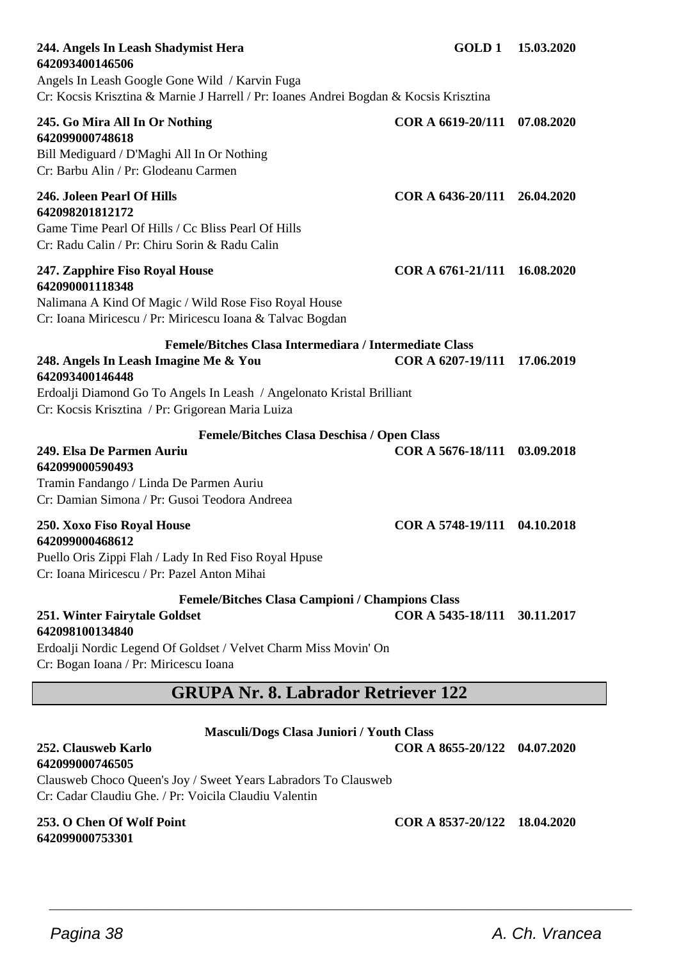| 244. Angels In Leash Shadymist Hera<br>642093400146506                                                                                                                  |                              | GOLD 1 15.03.2020 |
|-------------------------------------------------------------------------------------------------------------------------------------------------------------------------|------------------------------|-------------------|
| Angels In Leash Google Gone Wild / Karvin Fuga<br>Cr: Kocsis Krisztina & Marnie J Harrell / Pr: Ioanes Andrei Bogdan & Kocsis Krisztina                                 |                              |                   |
| 245. Go Mira All In Or Nothing<br>642099000748618<br>Bill Mediguard / D'Maghi All In Or Nothing<br>Cr: Barbu Alin / Pr: Glodeanu Carmen                                 | COR A 6619-20/111            | 07.08.2020        |
| 246. Joleen Pearl Of Hills<br>642098201812172<br>Game Time Pearl Of Hills / Cc Bliss Pearl Of Hills<br>Cr: Radu Calin / Pr: Chiru Sorin & Radu Calin                    | COR A 6436-20/111 26.04.2020 |                   |
| 247. Zapphire Fiso Royal House<br>642090001118348<br>Nalimana A Kind Of Magic / Wild Rose Fiso Royal House<br>Cr: Ioana Miricescu / Pr: Miricescu Ioana & Talvac Bogdan | COR A 6761-21/111 16.08.2020 |                   |
| Femele/Bitches Clasa Intermediara / Intermediate Class<br>248. Angels In Leash Imagine Me & You<br>642093400146448                                                      | COR A 6207-19/111 17.06.2019 |                   |
| Erdoalji Diamond Go To Angels In Leash / Angelonato Kristal Brilliant<br>Cr: Kocsis Krisztina / Pr: Grigorean Maria Luiza                                               |                              |                   |
| <b>Femele/Bitches Clasa Deschisa / Open Class</b>                                                                                                                       |                              |                   |
| 249. Elsa De Parmen Auriu<br>642099000590493                                                                                                                            | COR A 5676-18/111 03.09.2018 |                   |
| Tramin Fandango / Linda De Parmen Auriu<br>Cr: Damian Simona / Pr: Gusoi Teodora Andreea                                                                                |                              |                   |
| 250. Xoxo Fiso Royal House                                                                                                                                              | COR A 5748-19/111 04.10.2018 |                   |
| 642099000468612<br>Puello Oris Zippi Flah / Lady In Red Fiso Royal Hpuse<br>Cr: Ioana Miricescu / Pr: Pazel Anton Mihai                                                 |                              |                   |
| Femele/Bitches Clasa Campioni / Champions Class                                                                                                                         |                              |                   |
| 251. Winter Fairytale Goldset<br>642098100134840                                                                                                                        | COR A 5435-18/111 30.11.2017 |                   |
| Erdoalji Nordic Legend Of Goldset / Velvet Charm Miss Movin' On<br>Cr: Bogan Ioana / Pr: Miricescu Ioana                                                                |                              |                   |
| <b>GRUPA Nr. 8. Labrador Retriever 122</b>                                                                                                                              |                              |                   |
| Masculi/Dogs Clasa Juniori / Youth Class                                                                                                                                |                              |                   |

 $\overline{\phantom{a}}$  , and the set of the set of the set of the set of the set of the set of the set of the set of the set of the set of the set of the set of the set of the set of the set of the set of the set of the set of the s

#### **252. Clausweb Karlo COR A 8655-20/122 04.07.2020 642099000746505**

Clausweb Choco Queen's Joy / Sweet Years Labradors To Clausweb Cr: Cadar Claudiu Ghe. / Pr: Voicila Claudiu Valentin

# **642099000753301**

**253. O Chen Of Wolf Point COR A 8537-20/122 18.04.2020**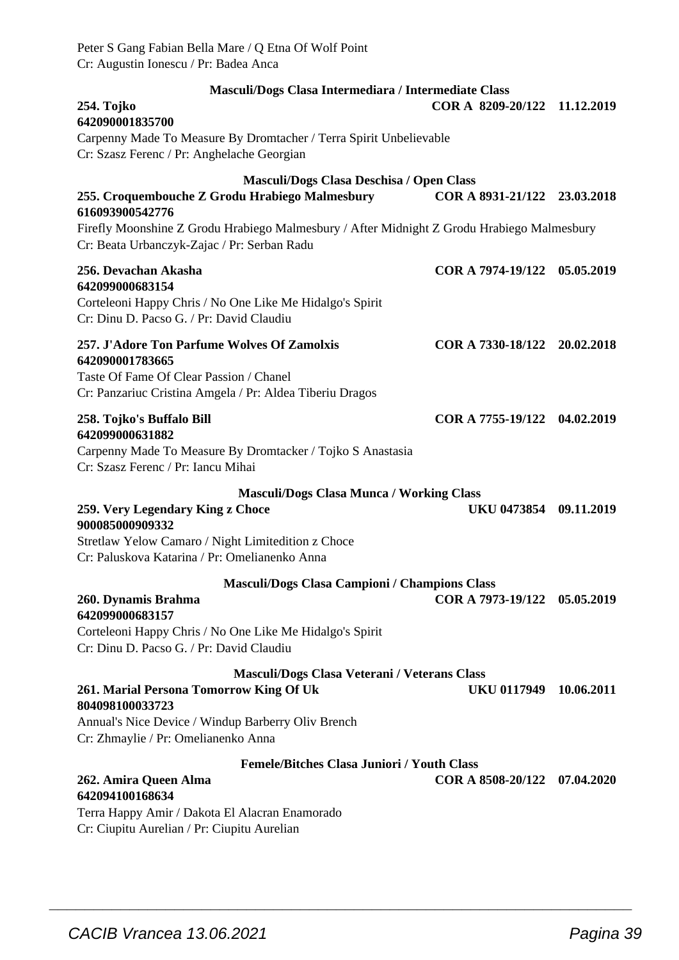| Peter S Gang Fabian Bella Mare / Q Etna Of Wolf Point<br>Cr: Augustin Ionescu / Pr: Badea Anca                                                                        |                              |            |
|-----------------------------------------------------------------------------------------------------------------------------------------------------------------------|------------------------------|------------|
| Masculi/Dogs Clasa Intermediara / Intermediate Class<br>254. Tojko<br>642090001835700<br>Carpenny Made To Measure By Dromtacher / Terra Spirit Unbelievable           | COR A 8209-20/122            | 11.12.2019 |
| Cr: Szasz Ferenc / Pr: Anghelache Georgian                                                                                                                            |                              |            |
| Masculi/Dogs Clasa Deschisa / Open Class<br>255. Croquembouche Z Grodu Hrabiego Malmesbury                                                                            | COR A 8931-21/122 23.03.2018 |            |
| 616093900542776<br>Firefly Moonshine Z Grodu Hrabiego Malmesbury / After Midnight Z Grodu Hrabiego Malmesbury<br>Cr: Beata Urbanczyk-Zajac / Pr: Serban Radu          |                              |            |
| 256. Devachan Akasha<br>642099000683154<br>Corteleoni Happy Chris / No One Like Me Hidalgo's Spirit<br>Cr: Dinu D. Pacso G. / Pr: David Claudiu                       | COR A 7974-19/122 05.05.2019 |            |
| 257. J'Adore Ton Parfume Wolves Of Zamolxis<br>642090001783665<br>Taste Of Fame Of Clear Passion / Chanel<br>Cr: Panzariuc Cristina Amgela / Pr: Aldea Tiberiu Dragos | COR A 7330-18/122 20.02.2018 |            |
| 258. Tojko's Buffalo Bill<br>642099000631882<br>Carpenny Made To Measure By Dromtacker / Tojko S Anastasia<br>Cr: Szasz Ferenc / Pr: Iancu Mihai                      | COR A 7755-19/122 04.02.2019 |            |
| <b>Masculi/Dogs Clasa Munca / Working Class</b>                                                                                                                       |                              |            |
| 259. Very Legendary King z Choce<br>900085000909332<br>Stretlaw Yelow Camaro / Night Limitedition z Choce<br>Cr: Paluskova Katarina / Pr: Omelianenko Anna            | UKU 0473854 09.11.2019       |            |
| <b>Masculi/Dogs Clasa Campioni / Champions Class</b>                                                                                                                  |                              |            |
| 260. Dynamis Brahma<br>642099000683157<br>Corteleoni Happy Chris / No One Like Me Hidalgo's Spirit<br>Cr: Dinu D. Pacso G. / Pr: David Claudiu                        | COR A 7973-19/122 05.05.2019 |            |
| Masculi/Dogs Clasa Veterani / Veterans Class<br>261. Marial Persona Tomorrow King Of Uk<br>804098100033723<br>Annual's Nice Device / Windup Barberry Oliv Brench      | UKU 0117949 10.06.2011       |            |
| Cr: Zhmaylie / Pr: Omelianenko Anna                                                                                                                                   |                              |            |
| <b>Femele/Bitches Clasa Juniori / Youth Class</b><br>262. Amira Queen Alma<br>642094100168634<br>Terra Happy Amir / Dakota El Alacran Enamorado                       | COR A 8508-20/122 07.04.2020 |            |
| Cr: Ciupitu Aurelian / Pr: Ciupitu Aurelian                                                                                                                           |                              |            |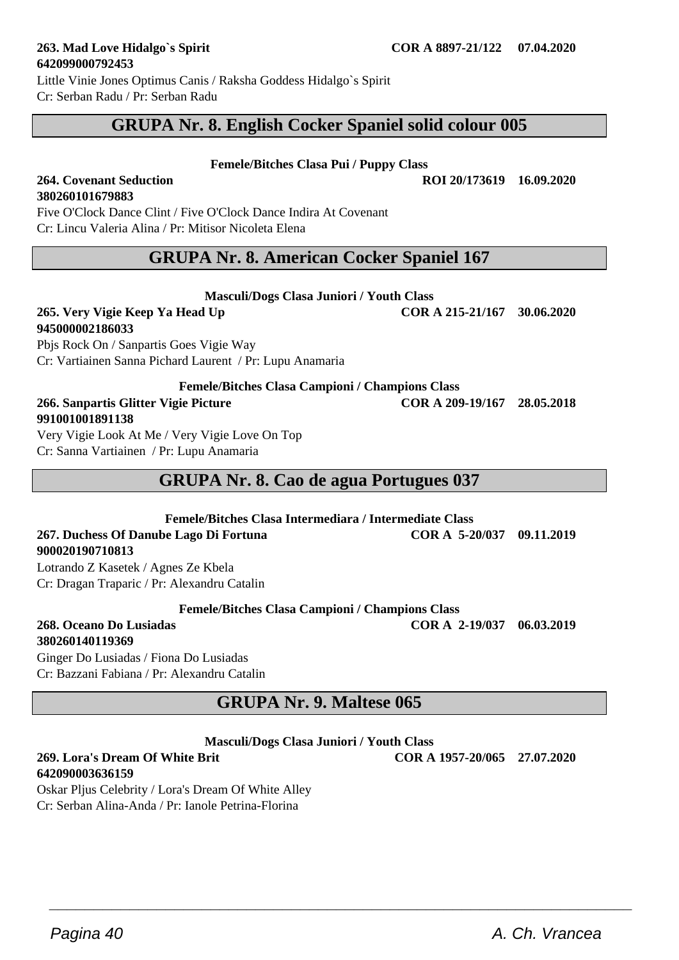**642090003636159**

Little Vinie Jones Optimus Canis / Raksha Goddess Hidalgo`s Spirit Cr: Serban Radu / Pr: Serban Radu

# **GRUPA Nr. 8. English Cocker Spaniel solid colour 005**

**Femele/Bitches Clasa Pui / Puppy Class**

#### **264. Covenant Seduction ROI 20/173619 16.09.2020 380260101679883**

Five O'Clock Dance Clint / Five O'Clock Dance Indira At Covenant Cr: Lincu Valeria Alina / Pr: Mitisor Nicoleta Elena

# **GRUPA Nr. 8. American Cocker Spaniel 167**

**Masculi/Dogs Clasa Juniori / Youth Class**

**265. Very Vigie Keep Ya Head Up COR A 215-21/167 30.06.2020**

# **945000002186033**

Pbjs Rock On / Sanpartis Goes Vigie Way Cr: Vartiainen Sanna Pichard Laurent / Pr: Lupu Anamaria

**Femele/Bitches Clasa Campioni / Champions Class**

#### **266. Sanpartis Glitter Vigie Picture COR A 209-19/167 28.05.2018 991001001891138**

Very Vigie Look At Me / Very Vigie Love On Top Cr: Sanna Vartiainen / Pr: Lupu Anamaria

# **GRUPA Nr. 8. Cao de agua Portugues 037**

**Femele/Bitches Clasa Intermediara / Intermediate Class 267. Duchess Of Danube Lago Di Fortuna COR A 5-20/037 09.11.2019 900020190710813**

Lotrando Z Kasetek / Agnes Ze Kbela Cr: Dragan Traparic / Pr: Alexandru Catalin

**Femele/Bitches Clasa Campioni / Champions Class**

**268. Oceano Do Lusiadas COR A 2-19/037 06.03.2019 380260140119369**

Ginger Do Lusiadas / Fiona Do Lusiadas Cr: Bazzani Fabiana / Pr: Alexandru Catalin

# **GRUPA Nr. 9. Maltese 065**

**Masculi/Dogs Clasa Juniori / Youth Class**

 $\overline{\phantom{a}}$  , and the set of the set of the set of the set of the set of the set of the set of the set of the set of the set of the set of the set of the set of the set of the set of the set of the set of the set of the s

Oskar Pljus Celebrity / Lora's Dream Of White Alley Cr: Serban Alina-Anda / Pr: Ianole Petrina-Florina

**269. Lora's Dream Of White Brit COR A 1957-20/065 27.07.2020**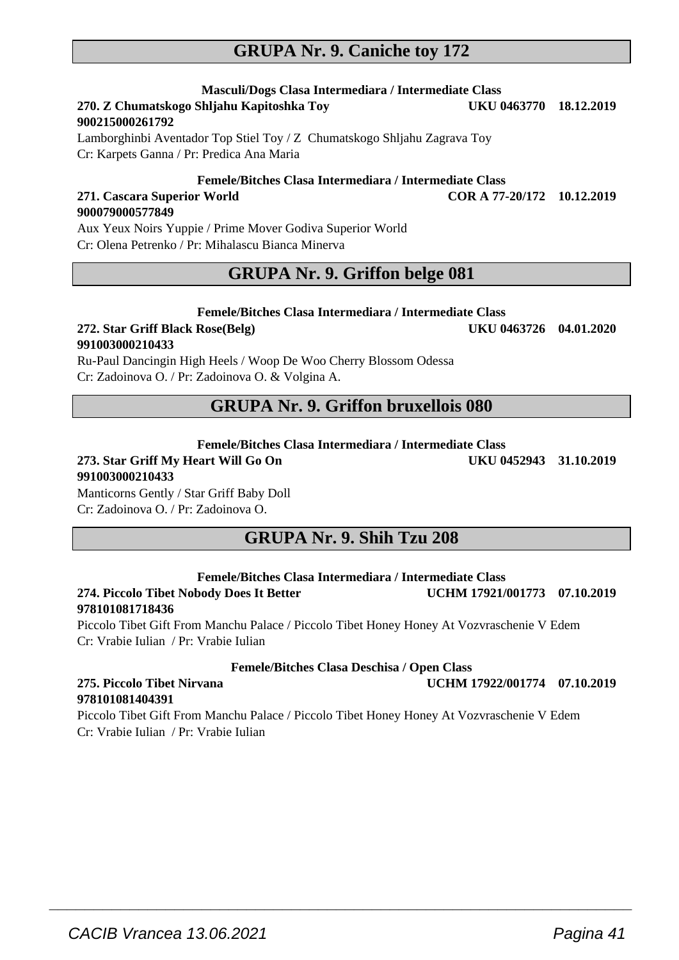# **GRUPA Nr. 9. Caniche toy 172**

# **Masculi/Dogs Clasa Intermediara / Intermediate Class**

#### 270. Z Chumatskogo Shljahu Kapitoshka Tov **900215000261792**

Lamborghinbi Aventador Top Stiel Toy / Z Chumatskogo Shljahu Zagrava Toy Cr: Karpets Ganna / Pr: Predica Ana Maria

#### **Femele/Bitches Clasa Intermediara / Intermediate Class 271. Cascara Superior World COR A 77-20/172 10.12.2019**

**900079000577849** Aux Yeux Noirs Yuppie / Prime Mover Godiva Superior World Cr: Olena Petrenko / Pr: Mihalascu Bianca Minerva

## **GRUPA Nr. 9. Griffon belge 081**

#### **Femele/Bitches Clasa Intermediara / Intermediate Class**

#### **272. Star Griff Black Rose(Belg) UKU 0463726 04.01.2020 991003000210433**

Ru-Paul Dancingin High Heels / Woop De Woo Cherry Blossom Odessa Cr: Zadoinova O. / Pr: Zadoinova O. & Volgina A.

## **GRUPA Nr. 9. Griffon bruxellois 080**

#### **Femele/Bitches Clasa Intermediara / Intermediate Class**

#### **273. Star Griff My Heart Will Go On UKU 0452943 31.10.2019 991003000210433** Manticorns Gently / Star Griff Baby Doll

Cr: Zadoinova O. / Pr: Zadoinova O.

**GRUPA Nr. 9. Shih Tzu 208**

#### **Femele/Bitches Clasa Intermediara / Intermediate Class 274. Piccolo Tibet Nobody Does It Better UCHM 17921/001773 07.10.2019 978101081718436**

Piccolo Tibet Gift From Manchu Palace / Piccolo Tibet Honey Honey At Vozvraschenie V Edem Cr: Vrabie Iulian / Pr: Vrabie Iulian

#### **Femele/Bitches Clasa Deschisa / Open Class**

# **978101081404391**

Piccolo Tibet Gift From Manchu Palace / Piccolo Tibet Honey Honey At Vozvraschenie V Edem Cr: Vrabie Iulian / Pr: Vrabie Iulian

 $\overline{\phantom{a}}$  , and the set of the set of the set of the set of the set of the set of the set of the set of the set of the set of the set of the set of the set of the set of the set of the set of the set of the set of the s

### **275. Piccolo Tibet Nirvana UCHM 17922/001774 07.10.2019**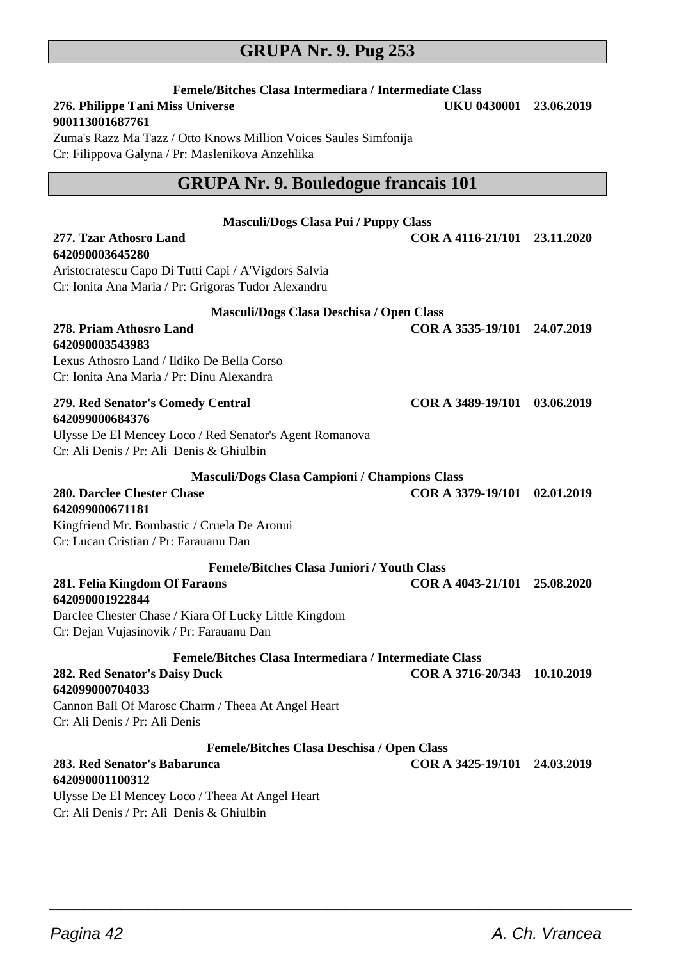# **GRUPA Nr. 9. Pug 253**

| Femele/Bitches Clasa Intermediara / Intermediate Class                                                               |                              |            |
|----------------------------------------------------------------------------------------------------------------------|------------------------------|------------|
| 276. Philippe Tani Miss Universe                                                                                     | UKU 0430001 23.06.2019       |            |
| 900113001687761                                                                                                      |                              |            |
| Zuma's Razz Ma Tazz / Otto Knows Million Voices Saules Simfonija<br>Cr: Filippova Galyna / Pr: Maslenikova Anzehlika |                              |            |
|                                                                                                                      |                              |            |
| <b>GRUPA Nr. 9. Bouledogue francais 101</b>                                                                          |                              |            |
|                                                                                                                      |                              |            |
| <b>Masculi/Dogs Clasa Pui / Puppy Class</b><br>277. Tzar Athosro Land                                                |                              |            |
| 642090003645280                                                                                                      | COR A 4116-21/101 23.11.2020 |            |
| Aristocratescu Capo Di Tutti Capi / A'Vigdors Salvia                                                                 |                              |            |
| Cr: Ionita Ana Maria / Pr: Grigoras Tudor Alexandru                                                                  |                              |            |
| Masculi/Dogs Clasa Deschisa / Open Class                                                                             |                              |            |
| 278. Priam Athosro Land                                                                                              | COR A 3535-19/101 24.07.2019 |            |
| 642090003543983                                                                                                      |                              |            |
| Lexus Athosro Land / Ildiko De Bella Corso                                                                           |                              |            |
| Cr: Ionita Ana Maria / Pr: Dinu Alexandra                                                                            |                              |            |
| 279. Red Senator's Comedy Central                                                                                    | COR A 3489-19/101            | 03.06.2019 |
| 642099000684376                                                                                                      |                              |            |
| Ulysse De El Mencey Loco / Red Senator's Agent Romanova                                                              |                              |            |
| Cr: Ali Denis / Pr: Ali Denis & Ghiulbin                                                                             |                              |            |
| Masculi/Dogs Clasa Campioni / Champions Class                                                                        |                              |            |
| 280. Darclee Chester Chase                                                                                           | COR A 3379-19/101 02.01.2019 |            |
| 642099000671181                                                                                                      |                              |            |
| Kingfriend Mr. Bombastic / Cruela De Aronui<br>Cr: Lucan Cristian / Pr: Farauanu Dan                                 |                              |            |
|                                                                                                                      |                              |            |
| <b>Femele/Bitches Clasa Juniori / Youth Class</b>                                                                    |                              |            |
| 281. Felia Kingdom Of Faraons<br>642090001922844                                                                     | COR A 4043-21/101 25.08.2020 |            |
| Darclee Chester Chase / Kiara Of Lucky Little Kingdom                                                                |                              |            |
| Cr: Dejan Vujasinovik / Pr: Farauanu Dan                                                                             |                              |            |
| Femele/Bitches Clasa Intermediara / Intermediate Class                                                               |                              |            |
| 282. Red Senator's Daisy Duck                                                                                        | COR A 3716-20/343 10.10.2019 |            |
| 642099000704033                                                                                                      |                              |            |
| Cannon Ball Of Marosc Charm / Theea At Angel Heart                                                                   |                              |            |
| Cr: Ali Denis / Pr: Ali Denis                                                                                        |                              |            |
| <b>Femele/Bitches Clasa Deschisa / Open Class</b>                                                                    |                              |            |
| 283. Red Senator's Babarunca                                                                                         | COR A 3425-19/101 24.03.2019 |            |
| 642090001100312<br>Ulysse De El Mencey Loco / Theea At Angel Heart                                                   |                              |            |
| Cr: Ali Denis / Pr: Ali Denis & Ghiulbin                                                                             |                              |            |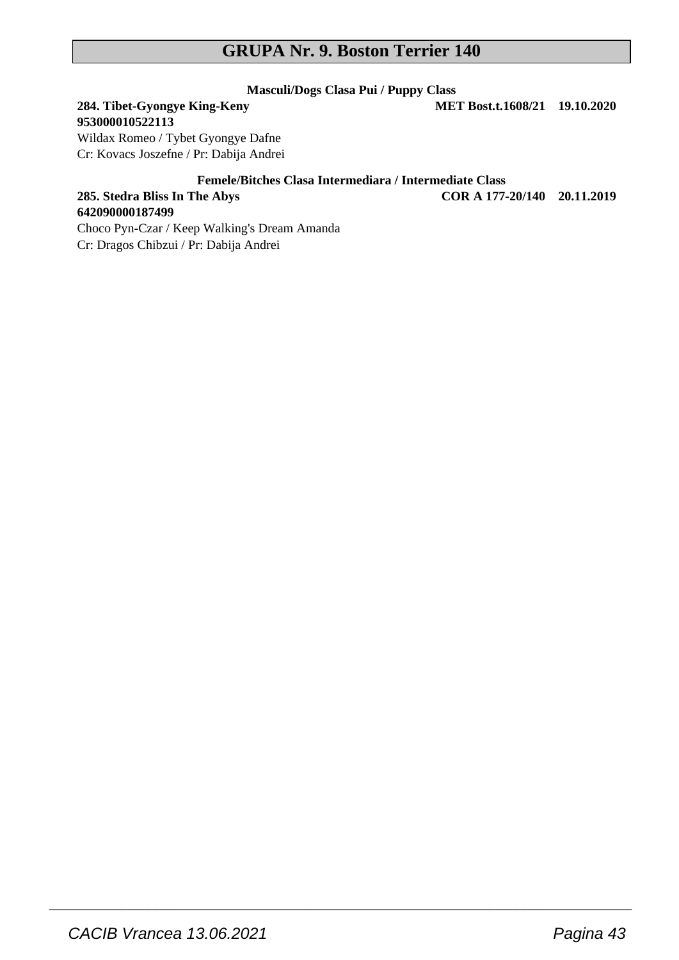### **GRUPA Nr. 9. Boston Terrier 140**

# **Masculi/Dogs Clasa Pui / Puppy Class**

# **284. Tibet-Gyongye King-Keny**

**642090000187499**

**953000010522113** Wildax Romeo / Tybet Gyongye Dafne Cr: Kovacs Joszefne / Pr: Dabija Andrei

#### **Femele/Bitches Clasa Intermediara / Intermediate Class**

 $\overline{\phantom{a}}$  , and the set of the set of the set of the set of the set of the set of the set of the set of the set of the set of the set of the set of the set of the set of the set of the set of the set of the set of the s

**285. Stedra Bliss In The Abys COR A 177-20/140 20.11.2019**

#### Choco Pyn-Czar / Keep Walking's Dream Amanda Cr: Dragos Chibzui / Pr: Dabija Andrei